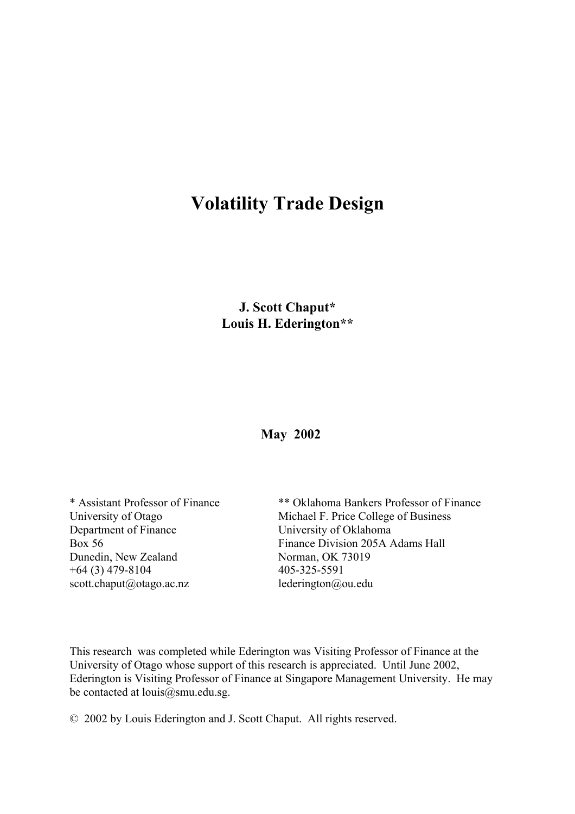# **Volatility Trade Design**

**J. Scott Chaput\* Louis H. Ederington\*\***

 **May 2002**

Department of Finance University of Oklahoma Dunedin, New Zealand Norman, OK 73019 +64 (3) 479-8104 405-325-5591 scott.chaput@otago.ac.nz lederington@ou.edu

\* Assistant Professor of Finance \*\* Oklahoma Bankers Professor of Finance University of Otago Michael F. Price College of Business Box 56 Finance Division 205A Adams Hall

This research was completed while Ederington was Visiting Professor of Finance at the University of Otago whose support of this research is appreciated. Until June 2002, Ederington is Visiting Professor of Finance at Singapore Management University. He may be contacted at  $louis@smu.edu.sg.$ 

© 2002 by Louis Ederington and J. Scott Chaput. All rights reserved.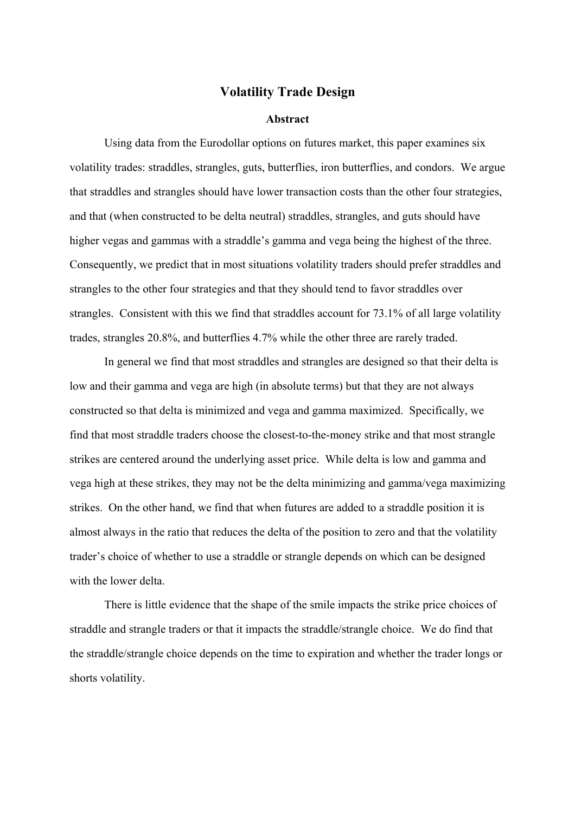### **Volatility Trade Design**

#### **Abstract**

Using data from the Eurodollar options on futures market, this paper examines six volatility trades: straddles, strangles, guts, butterflies, iron butterflies, and condors. We argue that straddles and strangles should have lower transaction costs than the other four strategies, and that (when constructed to be delta neutral) straddles, strangles, and guts should have higher vegas and gammas with a straddle's gamma and vega being the highest of the three. Consequently, we predict that in most situations volatility traders should prefer straddles and strangles to the other four strategies and that they should tend to favor straddles over strangles. Consistent with this we find that straddles account for 73.1% of all large volatility trades, strangles 20.8%, and butterflies 4.7% while the other three are rarely traded.

In general we find that most straddles and strangles are designed so that their delta is low and their gamma and vega are high (in absolute terms) but that they are not always constructed so that delta is minimized and vega and gamma maximized. Specifically, we find that most straddle traders choose the closest-to-the-money strike and that most strangle strikes are centered around the underlying asset price. While delta is low and gamma and vega high at these strikes, they may not be the delta minimizing and gamma/vega maximizing strikes. On the other hand, we find that when futures are added to a straddle position it is almost always in the ratio that reduces the delta of the position to zero and that the volatility trader's choice of whether to use a straddle or strangle depends on which can be designed with the lower delta.

There is little evidence that the shape of the smile impacts the strike price choices of straddle and strangle traders or that it impacts the straddle/strangle choice. We do find that the straddle/strangle choice depends on the time to expiration and whether the trader longs or shorts volatility.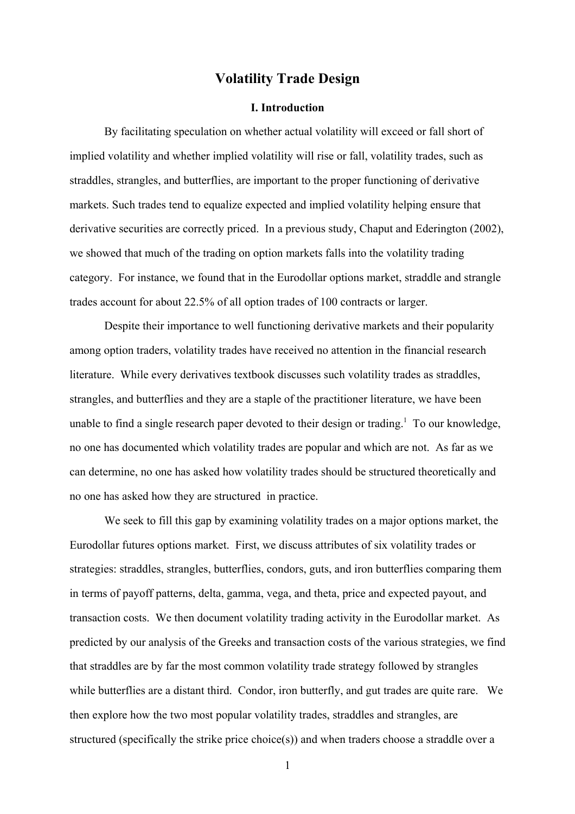# **Volatility Trade Design**

#### **I. Introduction**

By facilitating speculation on whether actual volatility will exceed or fall short of implied volatility and whether implied volatility will rise or fall, volatility trades, such as straddles, strangles, and butterflies, are important to the proper functioning of derivative markets. Such trades tend to equalize expected and implied volatility helping ensure that derivative securities are correctly priced. In a previous study, Chaput and Ederington (2002), we showed that much of the trading on option markets falls into the volatility trading category. For instance, we found that in the Eurodollar options market, straddle and strangle trades account for about 22.5% of all option trades of 100 contracts or larger.

Despite their importance to well functioning derivative markets and their popularity among option traders, volatility trades have received no attention in the financial research literature. While every derivatives textbook discusses such volatility trades as straddles, strangles, and butterflies and they are a staple of the practitioner literature, we have been unable to find a single research paper devoted to their design or trading.<sup>1</sup> To our knowledge, no one has documented which volatility trades are popular and which are not. As far as we can determine, no one has asked how volatility trades should be structured theoretically and no one has asked how they are structured in practice.

We seek to fill this gap by examining volatility trades on a major options market, the Eurodollar futures options market. First, we discuss attributes of six volatility trades or strategies: straddles, strangles, butterflies, condors, guts, and iron butterflies comparing them in terms of payoff patterns, delta, gamma, vega, and theta, price and expected payout, and transaction costs. We then document volatility trading activity in the Eurodollar market. As predicted by our analysis of the Greeks and transaction costs of the various strategies, we find that straddles are by far the most common volatility trade strategy followed by strangles while butterflies are a distant third. Condor, iron butterfly, and gut trades are quite rare. We then explore how the two most popular volatility trades, straddles and strangles, are structured (specifically the strike price choice(s)) and when traders choose a straddle over a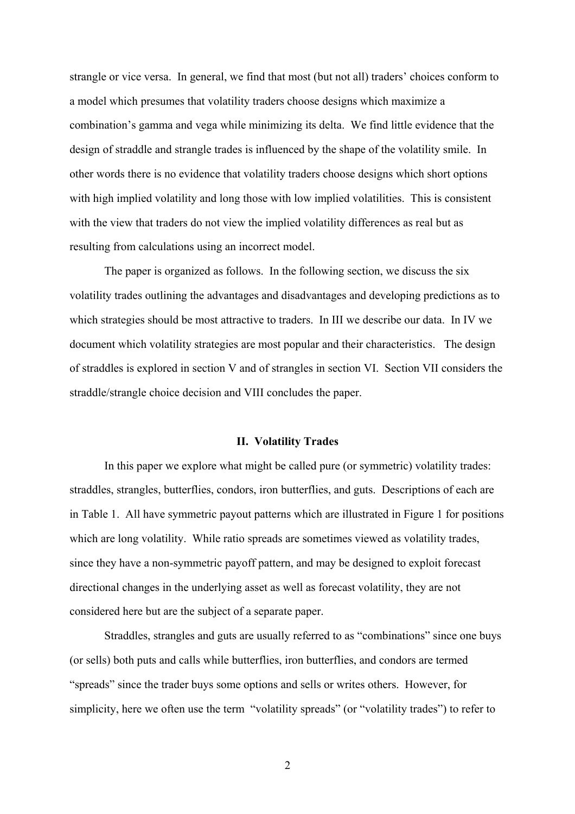strangle or vice versa. In general, we find that most (but not all) traders' choices conform to a model which presumes that volatility traders choose designs which maximize a combination's gamma and vega while minimizing its delta. We find little evidence that the design of straddle and strangle trades is influenced by the shape of the volatility smile. In other words there is no evidence that volatility traders choose designs which short options with high implied volatility and long those with low implied volatilities. This is consistent with the view that traders do not view the implied volatility differences as real but as resulting from calculations using an incorrect model.

The paper is organized as follows. In the following section, we discuss the six volatility trades outlining the advantages and disadvantages and developing predictions as to which strategies should be most attractive to traders. In III we describe our data. In IV we document which volatility strategies are most popular and their characteristics. The design of straddles is explored in section V and of strangles in section VI. Section VII considers the straddle/strangle choice decision and VIII concludes the paper.

#### **II. Volatility Trades**

In this paper we explore what might be called pure (or symmetric) volatility trades: straddles, strangles, butterflies, condors, iron butterflies, and guts. Descriptions of each are in Table 1. All have symmetric payout patterns which are illustrated in Figure 1 for positions which are long volatility. While ratio spreads are sometimes viewed as volatility trades, since they have a non-symmetric payoff pattern, and may be designed to exploit forecast directional changes in the underlying asset as well as forecast volatility, they are not considered here but are the subject of a separate paper.

Straddles, strangles and guts are usually referred to as "combinations" since one buys (or sells) both puts and calls while butterflies, iron butterflies, and condors are termed "spreads" since the trader buys some options and sells or writes others. However, for simplicity, here we often use the term "volatility spreads" (or "volatility trades") to refer to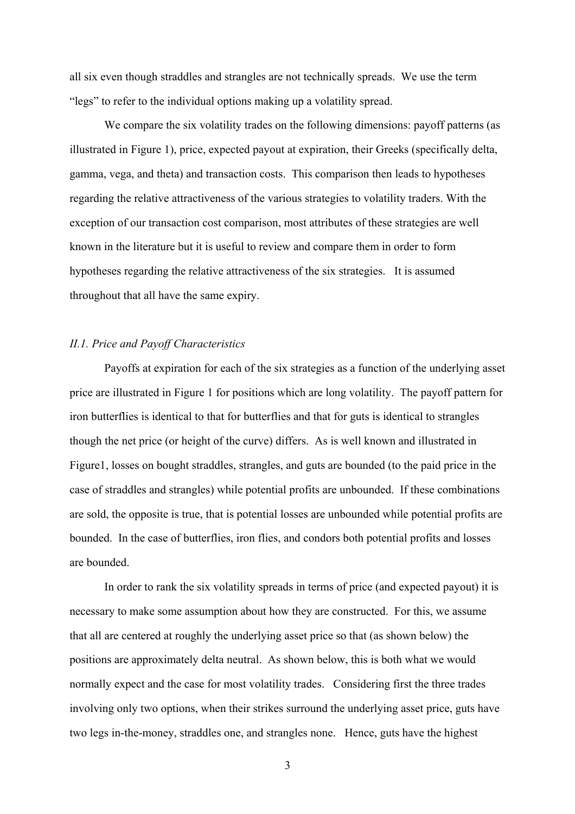all six even though straddles and strangles are not technically spreads. We use the term "legs" to refer to the individual options making up a volatility spread.

We compare the six volatility trades on the following dimensions: payoff patterns (as illustrated in Figure 1), price, expected payout at expiration, their Greeks (specifically delta, gamma, vega, and theta) and transaction costs. This comparison then leads to hypotheses regarding the relative attractiveness of the various strategies to volatility traders. With the exception of our transaction cost comparison, most attributes of these strategies are well known in the literature but it is useful to review and compare them in order to form hypotheses regarding the relative attractiveness of the six strategies. It is assumed throughout that all have the same expiry.

#### *II.1. Price and Payoff Characteristics*

Payoffs at expiration for each of the six strategies as a function of the underlying asset price are illustrated in Figure 1 for positions which are long volatility. The payoff pattern for iron butterflies is identical to that for butterflies and that for guts is identical to strangles though the net price (or height of the curve) differs. As is well known and illustrated in Figure1, losses on bought straddles, strangles, and guts are bounded (to the paid price in the case of straddles and strangles) while potential profits are unbounded. If these combinations are sold, the opposite is true, that is potential losses are unbounded while potential profits are bounded. In the case of butterflies, iron flies, and condors both potential profits and losses are bounded.

In order to rank the six volatility spreads in terms of price (and expected payout) it is necessary to make some assumption about how they are constructed. For this, we assume that all are centered at roughly the underlying asset price so that (as shown below) the positions are approximately delta neutral. As shown below, this is both what we would normally expect and the case for most volatility trades. Considering first the three trades involving only two options, when their strikes surround the underlying asset price, guts have two legs in-the-money, straddles one, and strangles none. Hence, guts have the highest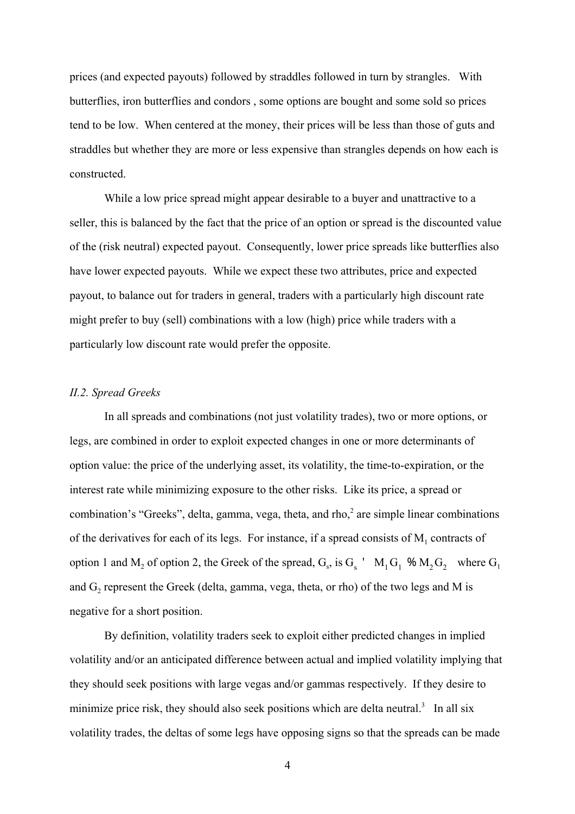prices (and expected payouts) followed by straddles followed in turn by strangles. With butterflies, iron butterflies and condors , some options are bought and some sold so prices tend to be low. When centered at the money, their prices will be less than those of guts and straddles but whether they are more or less expensive than strangles depends on how each is constructed.

While a low price spread might appear desirable to a buyer and unattractive to a seller, this is balanced by the fact that the price of an option or spread is the discounted value of the (risk neutral) expected payout. Consequently, lower price spreads like butterflies also have lower expected payouts. While we expect these two attributes, price and expected payout, to balance out for traders in general, traders with a particularly high discount rate might prefer to buy (sell) combinations with a low (high) price while traders with a particularly low discount rate would prefer the opposite.

#### *II.2. Spread Greeks*

In all spreads and combinations (not just volatility trades), two or more options, or legs, are combined in order to exploit expected changes in one or more determinants of option value: the price of the underlying asset, its volatility, the time-to-expiration, or the interest rate while minimizing exposure to the other risks. Like its price, a spread or combination's "Greeks", delta, gamma, vega, theta, and rho,<sup>2</sup> are simple linear combinations of the derivatives for each of its legs. For instance, if a spread consists of  $M_1$  contracts of option 1 and  $M_2$  of option 2, the Greek of the spread,  $G_s$ , is  $G_s$  '  $M_1G_1$  %  $M_2G_2$  where  $G_1$ and  $G_2$  represent the Greek (delta, gamma, vega, theta, or rho) of the two legs and M is negative for a short position.

By definition, volatility traders seek to exploit either predicted changes in implied volatility and/or an anticipated difference between actual and implied volatility implying that they should seek positions with large vegas and/or gammas respectively. If they desire to minimize price risk, they should also seek positions which are delta neutral.<sup>3</sup> In all six volatility trades, the deltas of some legs have opposing signs so that the spreads can be made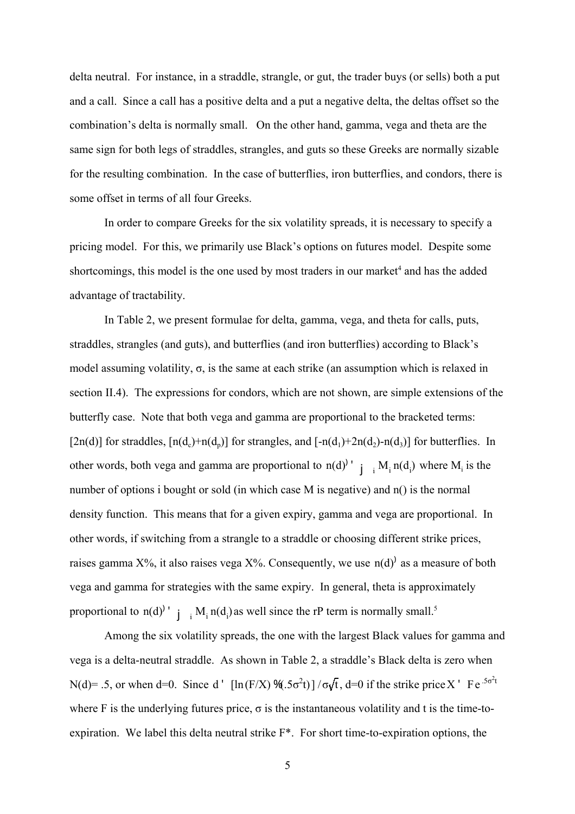delta neutral. For instance, in a straddle, strangle, or gut, the trader buys (or sells) both a put and a call. Since a call has a positive delta and a put a negative delta, the deltas offset so the combination's delta is normally small. On the other hand, gamma, vega and theta are the same sign for both legs of straddles, strangles, and guts so these Greeks are normally sizable for the resulting combination. In the case of butterflies, iron butterflies, and condors, there is some offset in terms of all four Greeks.

In order to compare Greeks for the six volatility spreads, it is necessary to specify a pricing model. For this, we primarily use Black's options on futures model. Despite some shortcomings, this model is the one used by most traders in our market<sup>4</sup> and has the added advantage of tractability.

In Table 2, we present formulae for delta, gamma, vega, and theta for calls, puts, straddles, strangles (and guts), and butterflies (and iron butterflies) according to Black's model assuming volatility,  $\sigma$ , is the same at each strike (an assumption which is relaxed in section II.4). The expressions for condors, which are not shown, are simple extensions of the butterfly case. Note that both vega and gamma are proportional to the bracketed terms: [2n(d)] for straddles,  $[n(d_c)+n(d_p)]$  for strangles, and  $[-n(d_1)+2n(d_2)-n(d_3)]$  for butterflies. In other words, both vega and gamma are proportional to  $n(d)^{j}$  i  $\lim_{i \to i} M_i n(d_i)$  where  $M_i$  is the number of options i bought or sold (in which case M is negative) and n() is the normal density function. This means that for a given expiry, gamma and vega are proportional. In other words, if switching from a strangle to a straddle or choosing different strike prices, raises gamma  $X\%$ , it also raises vega  $X\%$ . Consequently, we use  $n(d)$  as a measure of both vega and gamma for strategies with the same expiry. In general, theta is approximately proportional to n(d)<sup> $\prime$ </sup>  $\prime$   $\prime$ <sub>i</sub>  $M_i$  n(d<sub>i</sub>) as well since the rP term is normally small.<sup>5</sup>

Among the six volatility spreads, the one with the largest Black values for gamma and vega is a delta-neutral straddle. As shown in Table 2, a straddle's Black delta is zero when N(d)= .5, or when d=0. Since d ' [ln(F/X)  $\mathcal{H}$ .  $5\sigma^2t$ ] / $\sigma\sqrt{t}$ , d=0 if the strike price X ' Fe<sup>.5 $\sigma^2t$ </sup> where F is the underlying futures price,  $\sigma$  is the instantaneous volatility and t is the time-toexpiration. We label this delta neutral strike F\*. For short time-to-expiration options, the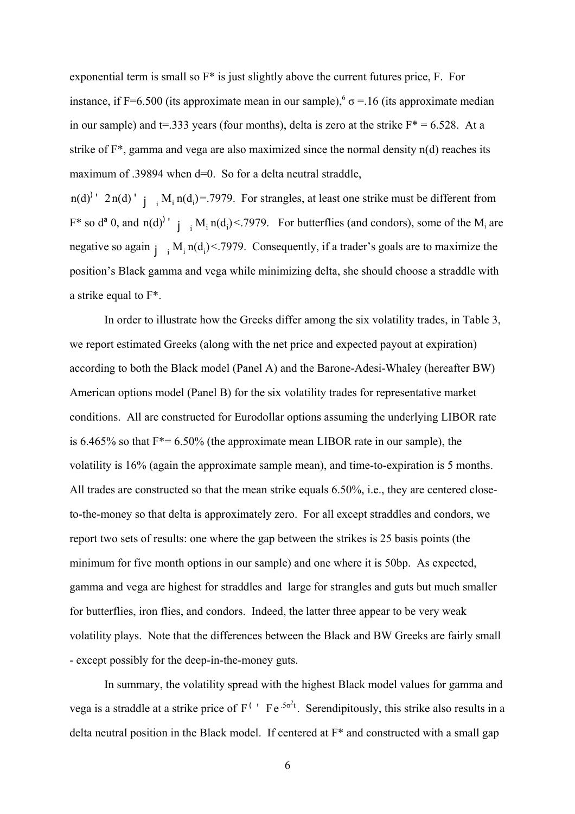exponential term is small so F\* is just slightly above the current futures price, F. For instance, if F=6.500 (its approximate mean in our sample),<sup>6</sup>  $\sigma$  = 16 (its approximate median in our sample) and t=.333 years (four months), delta is zero at the strike  $F^* = 6.528$ . At a strike of  $F^*$ , gamma and vega are also maximized since the normal density  $n(d)$  reaches its maximum of .39894 when d=0. So for a delta neutral straddle,

 $n(d)$ <sup>'</sup> 2n(d)<sup>'</sup> j<sub>i</sub> M<sub>i</sub> n(d<sub>i</sub>)=.7979. For strangles, at least one strike must be different from  $F^*$  so  $d^a$  0, and  $n(d)^{1}$   $j_{i}$   $M_i$   $n(d_i)$  < 7979. For butterflies (and condors), some of the  $M_i$  are negative so again  $j_i$   $M_i$  n(d<sub>i</sub>) < 7979. Consequently, if a trader's goals are to maximize the position's Black gamma and vega while minimizing delta, she should choose a straddle with a strike equal to F\*.

In order to illustrate how the Greeks differ among the six volatility trades, in Table 3, we report estimated Greeks (along with the net price and expected payout at expiration) according to both the Black model (Panel A) and the Barone-Adesi-Whaley (hereafter BW) American options model (Panel B) for the six volatility trades for representative market conditions. All are constructed for Eurodollar options assuming the underlying LIBOR rate is 6.465% so that  $F^*= 6.50\%$  (the approximate mean LIBOR rate in our sample), the volatility is 16% (again the approximate sample mean), and time-to-expiration is 5 months. All trades are constructed so that the mean strike equals 6.50%, i.e., they are centered closeto-the-money so that delta is approximately zero. For all except straddles and condors, we report two sets of results: one where the gap between the strikes is 25 basis points (the minimum for five month options in our sample) and one where it is 50bp. As expected, gamma and vega are highest for straddles and large for strangles and guts but much smaller for butterflies, iron flies, and condors. Indeed, the latter three appear to be very weak volatility plays. Note that the differences between the Black and BW Greeks are fairly small - except possibly for the deep-in-the-money guts.

In summary, the volatility spread with the highest Black model values for gamma and vega is a straddle at a strike price of  $F^{(+)}$  Fe  $^{.5\sigma^2t}$ . Serendipitously, this strike also results in a delta neutral position in the Black model. If centered at  $F^*$  and constructed with a small gap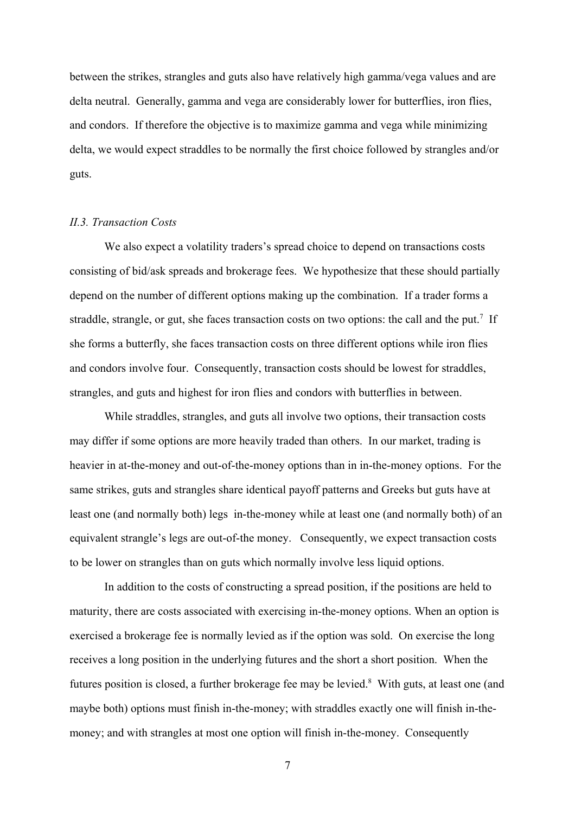between the strikes, strangles and guts also have relatively high gamma/vega values and are delta neutral. Generally, gamma and vega are considerably lower for butterflies, iron flies, and condors. If therefore the objective is to maximize gamma and vega while minimizing delta, we would expect straddles to be normally the first choice followed by strangles and/or guts.

#### *II.3. Transaction Costs*

We also expect a volatility traders's spread choice to depend on transactions costs consisting of bid/ask spreads and brokerage fees. We hypothesize that these should partially depend on the number of different options making up the combination. If a trader forms a straddle, strangle, or gut, she faces transaction costs on two options: the call and the put.<sup>7</sup> If she forms a butterfly, she faces transaction costs on three different options while iron flies and condors involve four. Consequently, transaction costs should be lowest for straddles, strangles, and guts and highest for iron flies and condors with butterflies in between.

While straddles, strangles, and guts all involve two options, their transaction costs may differ if some options are more heavily traded than others. In our market, trading is heavier in at-the-money and out-of-the-money options than in in-the-money options. For the same strikes, guts and strangles share identical payoff patterns and Greeks but guts have at least one (and normally both) legs in-the-money while at least one (and normally both) of an equivalent strangle's legs are out-of-the money. Consequently, we expect transaction costs to be lower on strangles than on guts which normally involve less liquid options.

In addition to the costs of constructing a spread position, if the positions are held to maturity, there are costs associated with exercising in-the-money options. When an option is exercised a brokerage fee is normally levied as if the option was sold. On exercise the long receives a long position in the underlying futures and the short a short position. When the futures position is closed, a further brokerage fee may be levied.<sup>8</sup> With guts, at least one (and maybe both) options must finish in-the-money; with straddles exactly one will finish in-themoney; and with strangles at most one option will finish in-the-money. Consequently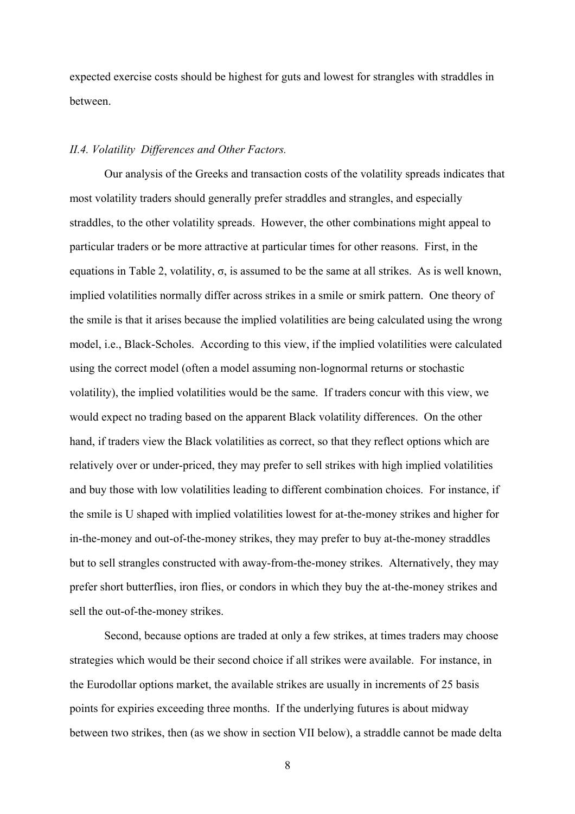expected exercise costs should be highest for guts and lowest for strangles with straddles in between.

#### *II.4. Volatility Differences and Other Factors.*

Our analysis of the Greeks and transaction costs of the volatility spreads indicates that most volatility traders should generally prefer straddles and strangles, and especially straddles, to the other volatility spreads. However, the other combinations might appeal to particular traders or be more attractive at particular times for other reasons. First, in the equations in Table 2, volatility,  $\sigma$ , is assumed to be the same at all strikes. As is well known, implied volatilities normally differ across strikes in a smile or smirk pattern. One theory of the smile is that it arises because the implied volatilities are being calculated using the wrong model, i.e., Black-Scholes. According to this view, if the implied volatilities were calculated using the correct model (often a model assuming non-lognormal returns or stochastic volatility), the implied volatilities would be the same. If traders concur with this view, we would expect no trading based on the apparent Black volatility differences. On the other hand, if traders view the Black volatilities as correct, so that they reflect options which are relatively over or under-priced, they may prefer to sell strikes with high implied volatilities and buy those with low volatilities leading to different combination choices. For instance, if the smile is U shaped with implied volatilities lowest for at-the-money strikes and higher for in-the-money and out-of-the-money strikes, they may prefer to buy at-the-money straddles but to sell strangles constructed with away-from-the-money strikes. Alternatively, they may prefer short butterflies, iron flies, or condors in which they buy the at-the-money strikes and sell the out-of-the-money strikes.

Second, because options are traded at only a few strikes, at times traders may choose strategies which would be their second choice if all strikes were available. For instance, in the Eurodollar options market, the available strikes are usually in increments of 25 basis points for expiries exceeding three months. If the underlying futures is about midway between two strikes, then (as we show in section VII below), a straddle cannot be made delta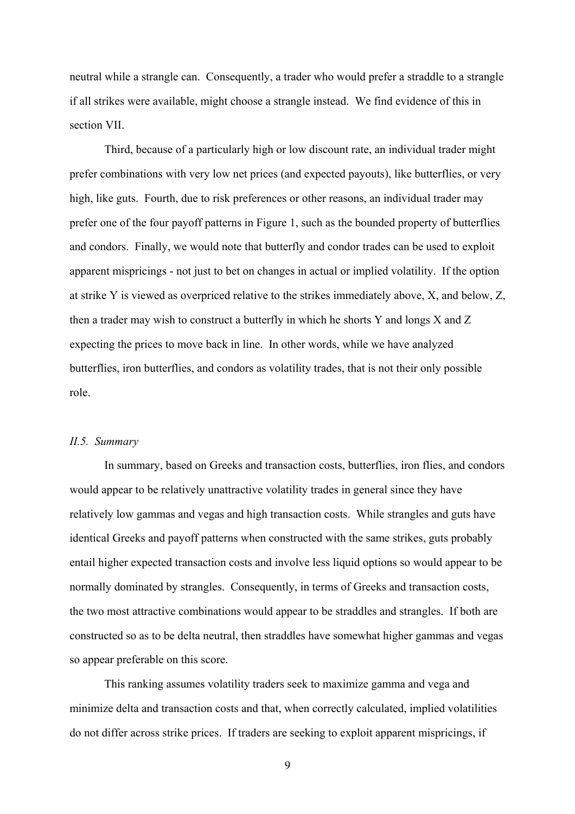neutral while a strangle can. Consequently, a trader who would prefer a straddle to a strangle if all strikes were available, might choose a strangle instead. We find evidence of this in section VII.

Third, because of a particularly high or low discount rate, an individual trader might prefer combinations with very low net prices (and expected payouts), like butterflies, or very high, like guts. Fourth, due to risk preferences or other reasons, an individual trader may prefer one of the four payoff patterns in Figure 1, such as the bounded property of butterflies and condors. Finally, we would note that butterfly and condor trades can be used to exploit apparent mispricings - not just to bet on changes in actual or implied volatility. If the option at strike Y is viewed as overpriced relative to the strikes immediately above, X, and below, Z, then a trader may wish to construct a butterfly in which he shorts Y and longs X and Z expecting the prices to move back in line. In other words, while we have analyzed butterflies, iron butterflies, and condors as volatility trades, that is not their only possible role.

### *II.5. Summary*

In summary, based on Greeks and transaction costs, butterflies, iron flies, and condors would appear to be relatively unattractive volatility trades in general since they have relatively low gammas and vegas and high transaction costs. While strangles and guts have identical Greeks and payoff patterns when constructed with the same strikes, guts probably entail higher expected transaction costs and involve less liquid options so would appear to be normally dominated by strangles. Consequently, in terms of Greeks and transaction costs, the two most attractive combinations would appear to be straddles and strangles. If both are constructed so as to be delta neutral, then straddles have somewhat higher gammas and vegas so appear preferable on this score.

This ranking assumes volatility traders seek to maximize gamma and vega and minimize delta and transaction costs and that, when correctly calculated, implied volatilities do not differ across strike prices. If traders are seeking to exploit apparent mispricings, if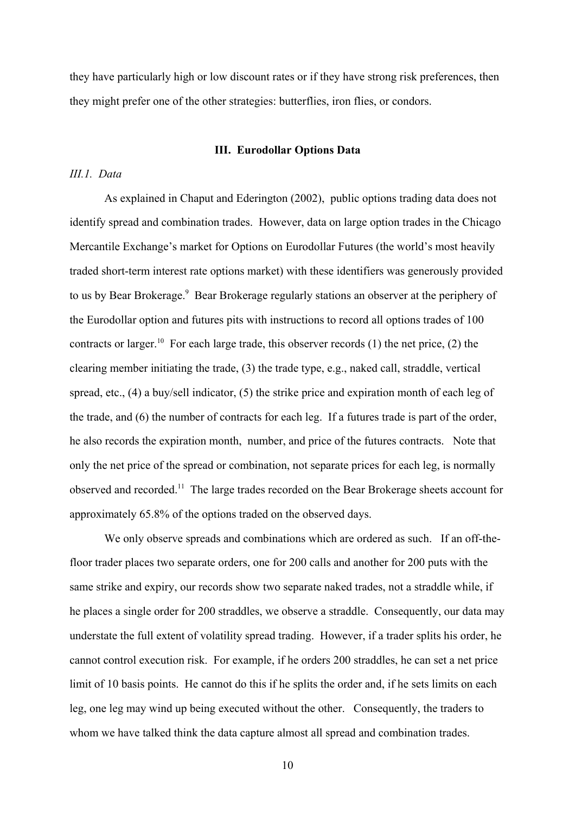they have particularly high or low discount rates or if they have strong risk preferences, then they might prefer one of the other strategies: butterflies, iron flies, or condors.

#### **III. Eurodollar Options Data**

#### *III.1. Data*

As explained in Chaput and Ederington (2002), public options trading data does not identify spread and combination trades. However, data on large option trades in the Chicago Mercantile Exchange's market for Options on Eurodollar Futures (the world's most heavily traded short-term interest rate options market) with these identifiers was generously provided to us by Bear Brokerage.<sup>9</sup> Bear Brokerage regularly stations an observer at the periphery of the Eurodollar option and futures pits with instructions to record all options trades of 100 contracts or larger.<sup>10</sup> For each large trade, this observer records (1) the net price, (2) the clearing member initiating the trade, (3) the trade type, e.g., naked call, straddle, vertical spread, etc., (4) a buy/sell indicator, (5) the strike price and expiration month of each leg of the trade, and (6) the number of contracts for each leg. If a futures trade is part of the order, he also records the expiration month, number, and price of the futures contracts. Note that only the net price of the spread or combination, not separate prices for each leg, is normally observed and recorded.<sup>11</sup> The large trades recorded on the Bear Brokerage sheets account for approximately 65.8% of the options traded on the observed days.

We only observe spreads and combinations which are ordered as such. If an off-thefloor trader places two separate orders, one for 200 calls and another for 200 puts with the same strike and expiry, our records show two separate naked trades, not a straddle while, if he places a single order for 200 straddles, we observe a straddle. Consequently, our data may understate the full extent of volatility spread trading. However, if a trader splits his order, he cannot control execution risk. For example, if he orders 200 straddles, he can set a net price limit of 10 basis points. He cannot do this if he splits the order and, if he sets limits on each leg, one leg may wind up being executed without the other. Consequently, the traders to whom we have talked think the data capture almost all spread and combination trades.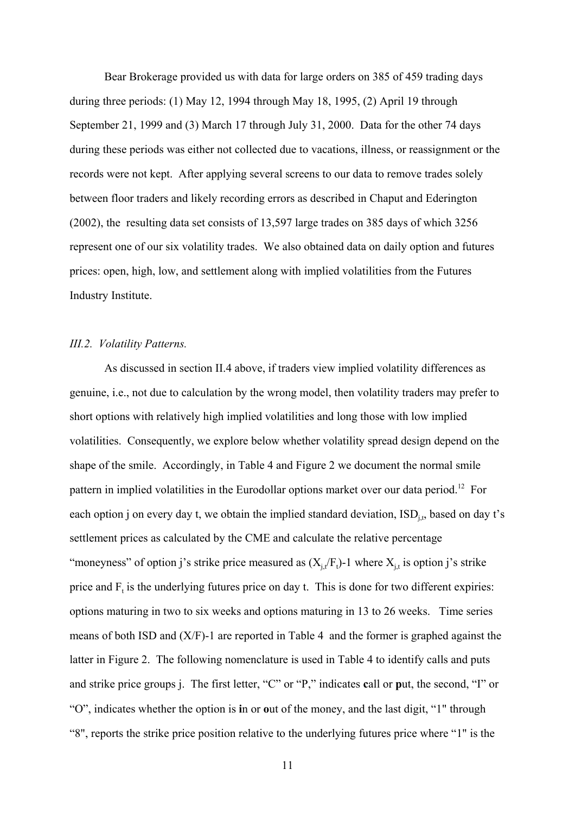Bear Brokerage provided us with data for large orders on 385 of 459 trading days during three periods: (1) May 12, 1994 through May 18, 1995, (2) April 19 through September 21, 1999 and (3) March 17 through July 31, 2000. Data for the other 74 days during these periods was either not collected due to vacations, illness, or reassignment or the records were not kept. After applying several screens to our data to remove trades solely between floor traders and likely recording errors as described in Chaput and Ederington (2002), the resulting data set consists of 13,597 large trades on 385 days of which 3256 represent one of our six volatility trades. We also obtained data on daily option and futures prices: open, high, low, and settlement along with implied volatilities from the Futures Industry Institute.

#### *III.2. Volatility Patterns.*

As discussed in section II.4 above, if traders view implied volatility differences as genuine, i.e., not due to calculation by the wrong model, then volatility traders may prefer to short options with relatively high implied volatilities and long those with low implied volatilities. Consequently, we explore below whether volatility spread design depend on the shape of the smile. Accordingly, in Table 4 and Figure 2 we document the normal smile pattern in implied volatilities in the Eurodollar options market over our data period.<sup>12</sup> For each option j on every day t, we obtain the implied standard deviation,  $\text{ISD}_{\text{it}}$ , based on day t's settlement prices as calculated by the CME and calculate the relative percentage "moneyness" of option j's strike price measured as  $(X_{j,t}/F_t)$ -1 where  $X_{j,t}$  is option j's strike price and  $F_t$  is the underlying futures price on day t. This is done for two different expiries: options maturing in two to six weeks and options maturing in 13 to 26 weeks. Time series means of both ISD and (X/F)-1 are reported in Table 4 and the former is graphed against the latter in Figure 2. The following nomenclature is used in Table 4 to identify calls and puts and strike price groups j. The first letter, "C" or "P," indicates **c**all or **p**ut, the second, "I" or "O", indicates whether the option is **i**n or **o**ut of the money, and the last digit, "1" through "8", reports the strike price position relative to the underlying futures price where "1" is the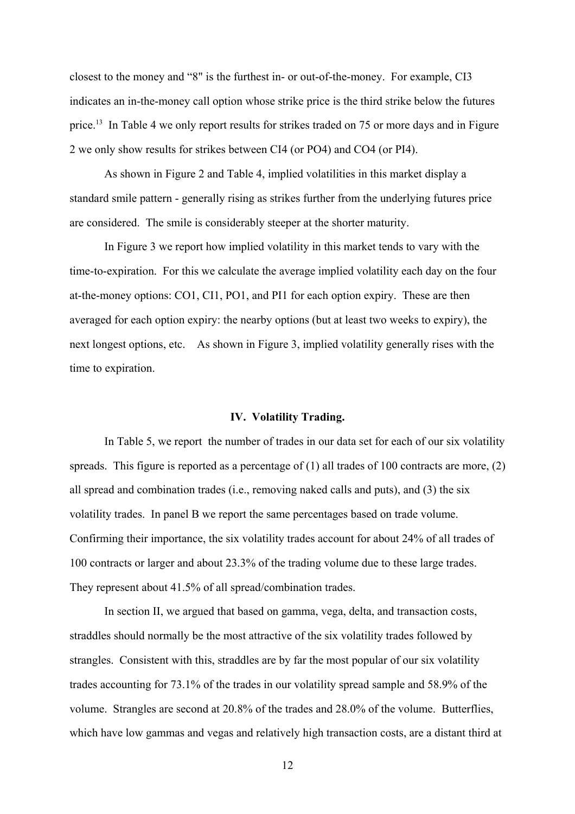closest to the money and "8" is the furthest in- or out-of-the-money. For example, CI3 indicates an in-the-money call option whose strike price is the third strike below the futures price.<sup>13</sup> In Table 4 we only report results for strikes traded on 75 or more days and in Figure 2 we only show results for strikes between CI4 (or PO4) and CO4 (or PI4).

As shown in Figure 2 and Table 4, implied volatilities in this market display a standard smile pattern - generally rising as strikes further from the underlying futures price are considered. The smile is considerably steeper at the shorter maturity.

In Figure 3 we report how implied volatility in this market tends to vary with the time-to-expiration. For this we calculate the average implied volatility each day on the four at-the-money options: CO1, CI1, PO1, and PI1 for each option expiry. These are then averaged for each option expiry: the nearby options (but at least two weeks to expiry), the next longest options, etc. As shown in Figure 3, implied volatility generally rises with the time to expiration.

#### **IV. Volatility Trading.**

In Table 5, we report the number of trades in our data set for each of our six volatility spreads. This figure is reported as a percentage of (1) all trades of 100 contracts are more, (2) all spread and combination trades (i.e., removing naked calls and puts), and (3) the six volatility trades. In panel B we report the same percentages based on trade volume. Confirming their importance, the six volatility trades account for about 24% of all trades of 100 contracts or larger and about 23.3% of the trading volume due to these large trades. They represent about 41.5% of all spread/combination trades.

In section II, we argued that based on gamma, vega, delta, and transaction costs, straddles should normally be the most attractive of the six volatility trades followed by strangles. Consistent with this, straddles are by far the most popular of our six volatility trades accounting for 73.1% of the trades in our volatility spread sample and 58.9% of the volume. Strangles are second at 20.8% of the trades and 28.0% of the volume. Butterflies, which have low gammas and vegas and relatively high transaction costs, are a distant third at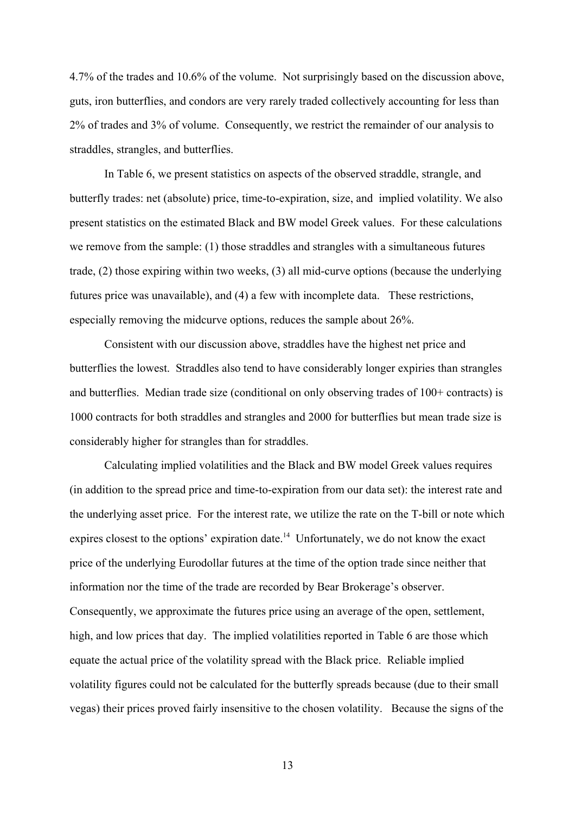4.7% of the trades and 10.6% of the volume. Not surprisingly based on the discussion above, guts, iron butterflies, and condors are very rarely traded collectively accounting for less than 2% of trades and 3% of volume. Consequently, we restrict the remainder of our analysis to straddles, strangles, and butterflies.

In Table 6, we present statistics on aspects of the observed straddle, strangle, and butterfly trades: net (absolute) price, time-to-expiration, size, and implied volatility. We also present statistics on the estimated Black and BW model Greek values. For these calculations we remove from the sample: (1) those straddles and strangles with a simultaneous futures trade, (2) those expiring within two weeks, (3) all mid-curve options (because the underlying futures price was unavailable), and (4) a few with incomplete data. These restrictions, especially removing the midcurve options, reduces the sample about 26%.

Consistent with our discussion above, straddles have the highest net price and butterflies the lowest. Straddles also tend to have considerably longer expiries than strangles and butterflies. Median trade size (conditional on only observing trades of 100+ contracts) is 1000 contracts for both straddles and strangles and 2000 for butterflies but mean trade size is considerably higher for strangles than for straddles.

Calculating implied volatilities and the Black and BW model Greek values requires (in addition to the spread price and time-to-expiration from our data set): the interest rate and the underlying asset price. For the interest rate, we utilize the rate on the T-bill or note which expires closest to the options' expiration date.<sup>14</sup> Unfortunately, we do not know the exact price of the underlying Eurodollar futures at the time of the option trade since neither that information nor the time of the trade are recorded by Bear Brokerage's observer. Consequently, we approximate the futures price using an average of the open, settlement, high, and low prices that day. The implied volatilities reported in Table 6 are those which equate the actual price of the volatility spread with the Black price. Reliable implied volatility figures could not be calculated for the butterfly spreads because (due to their small vegas) their prices proved fairly insensitive to the chosen volatility. Because the signs of the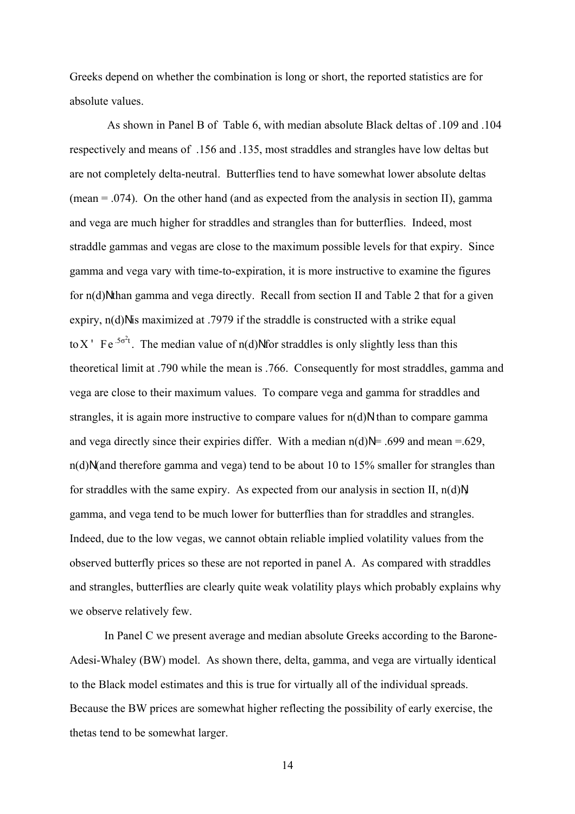Greeks depend on whether the combination is long or short, the reported statistics are for absolute values.

 As shown in Panel B of Table 6, with median absolute Black deltas of .109 and .104 respectively and means of .156 and .135, most straddles and strangles have low deltas but are not completely delta-neutral. Butterflies tend to have somewhat lower absolute deltas (mean  $= .074$ ). On the other hand (and as expected from the analysis in section II), gamma and vega are much higher for straddles and strangles than for butterflies. Indeed, most straddle gammas and vegas are close to the maximum possible levels for that expiry. Since gamma and vega vary with time-to-expiration, it is more instructive to examine the figures for  $n(d)$ N than gamma and vega directly. Recall from section II and Table 2 that for a given expiry,  $n(d)$ N is maximized at .7979 if the straddle is constructed with a strike equal to X ' Fe<sup>.5 $\sigma$ <sup>2</sup>t. The median value of n(d)Nfor straddles is only slightly less than this</sup> theoretical limit at .790 while the mean is .766. Consequently for most straddles, gamma and vega are close to their maximum values. To compare vega and gamma for straddles and strangles, it is again more instructive to compare values for  $n(d)N$  than to compare gamma and vega directly since their expiries differ. With a median  $n(d)N = .699$  and mean =.629,  $n(d)N$  (and therefore gamma and vega) tend to be about 10 to 15% smaller for strangles than for straddles with the same expiry. As expected from our analysis in section II,  $n(d)N$ gamma, and vega tend to be much lower for butterflies than for straddles and strangles. Indeed, due to the low vegas, we cannot obtain reliable implied volatility values from the observed butterfly prices so these are not reported in panel A. As compared with straddles and strangles, butterflies are clearly quite weak volatility plays which probably explains why we observe relatively few.

In Panel C we present average and median absolute Greeks according to the Barone-Adesi-Whaley (BW) model. As shown there, delta, gamma, and vega are virtually identical to the Black model estimates and this is true for virtually all of the individual spreads. Because the BW prices are somewhat higher reflecting the possibility of early exercise, the thetas tend to be somewhat larger.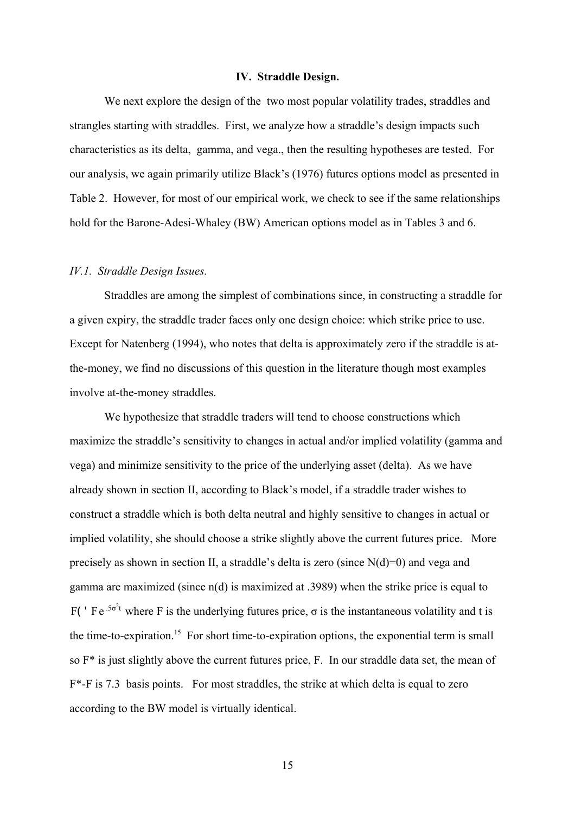#### **IV. Straddle Design.**

We next explore the design of the two most popular volatility trades, straddles and strangles starting with straddles. First, we analyze how a straddle's design impacts such characteristics as its delta, gamma, and vega., then the resulting hypotheses are tested. For our analysis, we again primarily utilize Black's (1976) futures options model as presented in Table 2. However, for most of our empirical work, we check to see if the same relationships hold for the Barone-Adesi-Whaley (BW) American options model as in Tables 3 and 6.

#### *IV.1. Straddle Design Issues.*

Straddles are among the simplest of combinations since, in constructing a straddle for a given expiry, the straddle trader faces only one design choice: which strike price to use. Except for Natenberg (1994), who notes that delta is approximately zero if the straddle is atthe-money, we find no discussions of this question in the literature though most examples involve at-the-money straddles.

We hypothesize that straddle traders will tend to choose constructions which maximize the straddle's sensitivity to changes in actual and/or implied volatility (gamma and vega) and minimize sensitivity to the price of the underlying asset (delta). As we have already shown in section II, according to Black's model, if a straddle trader wishes to construct a straddle which is both delta neutral and highly sensitive to changes in actual or implied volatility, she should choose a strike slightly above the current futures price. More precisely as shown in section II, a straddle's delta is zero (since  $N(d)=0$ ) and vega and gamma are maximized (since n(d) is maximized at .3989) when the strike price is equal to F(  $^{\prime}$  Fe<sup>.5 $\sigma$ <sup>2</sup>t where F is the underlying futures price,  $\sigma$  is the instantaneous volatility and t is</sup> the time-to-expiration.<sup>15</sup> For short time-to-expiration options, the exponential term is small so F\* is just slightly above the current futures price, F. In our straddle data set, the mean of F\*-F is 7.3 basis points. For most straddles, the strike at which delta is equal to zero according to the BW model is virtually identical.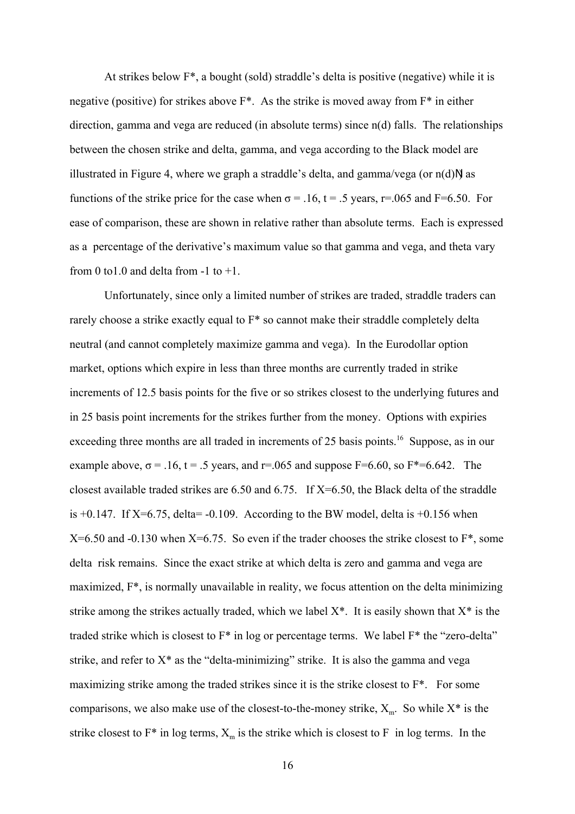At strikes below F\*, a bought (sold) straddle's delta is positive (negative) while it is negative (positive) for strikes above  $F^*$ . As the strike is moved away from  $F^*$  in either direction, gamma and vega are reduced (in absolute terms) since n(d) falls. The relationships between the chosen strike and delta, gamma, and vega according to the Black model are illustrated in Figure 4, where we graph a straddle's delta, and gamma/vega (or  $n(d)$ N) as functions of the strike price for the case when  $\sigma = 0.16$ ,  $t = 0.5$  years, r=0.065 and F=6.50. For ease of comparison, these are shown in relative rather than absolute terms. Each is expressed as a percentage of the derivative's maximum value so that gamma and vega, and theta vary from 0 to 1.0 and delta from  $-1$  to  $+1$ .

Unfortunately, since only a limited number of strikes are traded, straddle traders can rarely choose a strike exactly equal to F\* so cannot make their straddle completely delta neutral (and cannot completely maximize gamma and vega). In the Eurodollar option market, options which expire in less than three months are currently traded in strike increments of 12.5 basis points for the five or so strikes closest to the underlying futures and in 25 basis point increments for the strikes further from the money. Options with expiries exceeding three months are all traded in increments of 25 basis points.<sup>16</sup> Suppose, as in our example above,  $\sigma$  = .16, t = .5 years, and r=.065 and suppose F=6.60, so F\*=6.642. The closest available traded strikes are 6.50 and 6.75. If X=6.50, the Black delta of the straddle is  $+0.147$ . If X=6.75, delta = -0.109. According to the BW model, delta is  $+0.156$  when  $X=6.50$  and  $-0.130$  when  $X=6.75$ . So even if the trader chooses the strike closest to  $F^*$ , some delta risk remains. Since the exact strike at which delta is zero and gamma and vega are maximized, F\*, is normally unavailable in reality, we focus attention on the delta minimizing strike among the strikes actually traded, which we label  $X^*$ . It is easily shown that  $X^*$  is the traded strike which is closest to F\* in log or percentage terms. We label F\* the "zero-delta" strike, and refer to  $X^*$  as the "delta-minimizing" strike. It is also the gamma and vega maximizing strike among the traded strikes since it is the strike closest to F<sup>\*</sup>. For some comparisons, we also make use of the closest-to-the-money strike,  $X_m$ . So while  $X^*$  is the strike closest to  $F^*$  in log terms,  $X_m$  is the strike which is closest to F in log terms. In the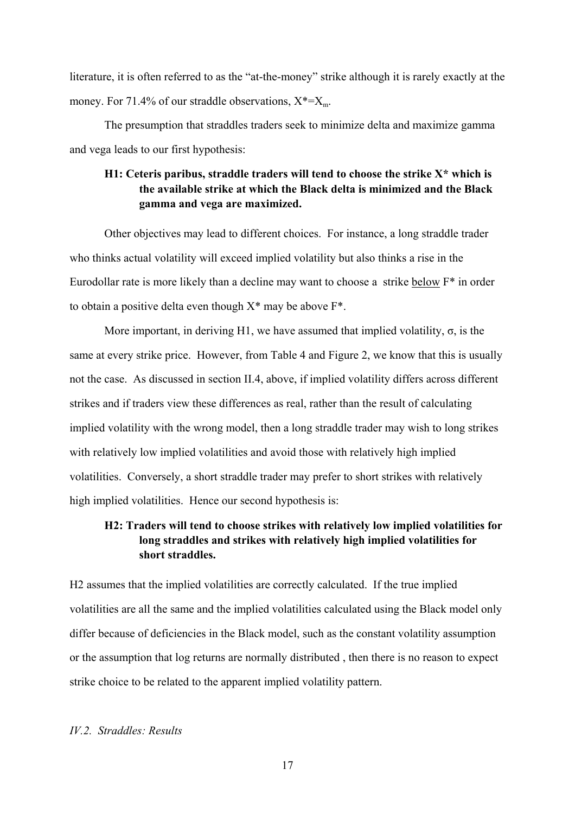literature, it is often referred to as the "at-the-money" strike although it is rarely exactly at the money. For 71.4% of our straddle observations,  $X^* = X_m$ .

The presumption that straddles traders seek to minimize delta and maximize gamma and vega leads to our first hypothesis:

# **H1: Ceteris paribus, straddle traders will tend to choose the strike X\* which is the available strike at which the Black delta is minimized and the Black gamma and vega are maximized.**

Other objectives may lead to different choices. For instance, a long straddle trader who thinks actual volatility will exceed implied volatility but also thinks a rise in the Eurodollar rate is more likely than a decline may want to choose a strike below F\* in order to obtain a positive delta even though  $X^*$  may be above  $F^*$ .

More important, in deriving H1, we have assumed that implied volatility,  $\sigma$ , is the same at every strike price. However, from Table 4 and Figure 2, we know that this is usually not the case. As discussed in section II.4, above, if implied volatility differs across different strikes and if traders view these differences as real, rather than the result of calculating implied volatility with the wrong model, then a long straddle trader may wish to long strikes with relatively low implied volatilities and avoid those with relatively high implied volatilities. Conversely, a short straddle trader may prefer to short strikes with relatively high implied volatilities. Hence our second hypothesis is:

# **H2: Traders will tend to choose strikes with relatively low implied volatilities for long straddles and strikes with relatively high implied volatilities for short straddles.**

H2 assumes that the implied volatilities are correctly calculated. If the true implied volatilities are all the same and the implied volatilities calculated using the Black model only differ because of deficiencies in the Black model, such as the constant volatility assumption or the assumption that log returns are normally distributed , then there is no reason to expect strike choice to be related to the apparent implied volatility pattern.

#### *IV.2. Straddles: Results*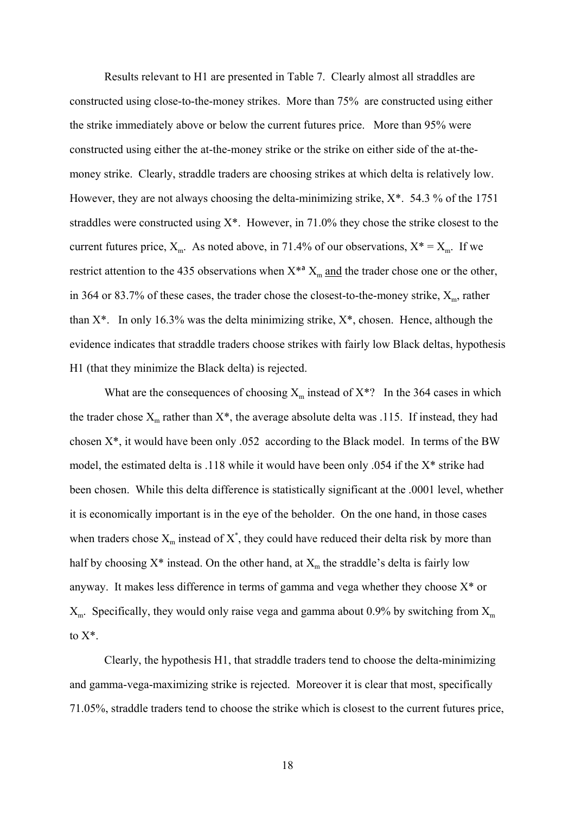Results relevant to H1 are presented in Table 7. Clearly almost all straddles are constructed using close-to-the-money strikes. More than 75% are constructed using either the strike immediately above or below the current futures price. More than 95% were constructed using either the at-the-money strike or the strike on either side of the at-themoney strike. Clearly, straddle traders are choosing strikes at which delta is relatively low. However, they are not always choosing the delta-minimizing strike,  $X^*$ . 54.3 % of the 1751 straddles were constructed using X\*. However, in 71.0% they chose the strike closest to the current futures price,  $X_m$ . As noted above, in 71.4% of our observations,  $X^* = X_m$ . If we restrict attention to the 435 observations when  $X^{*a}$   $X_m$  and the trader chose one or the other, in 364 or 83.7% of these cases, the trader chose the closest-to-the-money strike,  $X_{\text{m}}$ , rather than  $X^*$ . In only 16.3% was the delta minimizing strike,  $X^*$ , chosen. Hence, although the evidence indicates that straddle traders choose strikes with fairly low Black deltas, hypothesis H1 (that they minimize the Black delta) is rejected.

What are the consequences of choosing  $X_m$  instead of  $X^*$ ? In the 364 cases in which the trader chose  $X_m$  rather than  $X^*$ , the average absolute delta was .115. If instead, they had chosen X\*, it would have been only .052 according to the Black model. In terms of the BW model, the estimated delta is .118 while it would have been only .054 if the X\* strike had been chosen. While this delta difference is statistically significant at the .0001 level, whether it is economically important is in the eye of the beholder. On the one hand, in those cases when traders chose  $X_m$  instead of  $X^*$ , they could have reduced their delta risk by more than half by choosing  $X^*$  instead. On the other hand, at  $X_m$  the straddle's delta is fairly low anyway. It makes less difference in terms of gamma and vega whether they choose  $X^*$  or  $X<sub>m</sub>$ . Specifically, they would only raise vega and gamma about 0.9% by switching from  $X<sub>m</sub>$ to  $X^*$ 

Clearly, the hypothesis H1, that straddle traders tend to choose the delta-minimizing and gamma-vega-maximizing strike is rejected. Moreover it is clear that most, specifically 71.05%, straddle traders tend to choose the strike which is closest to the current futures price,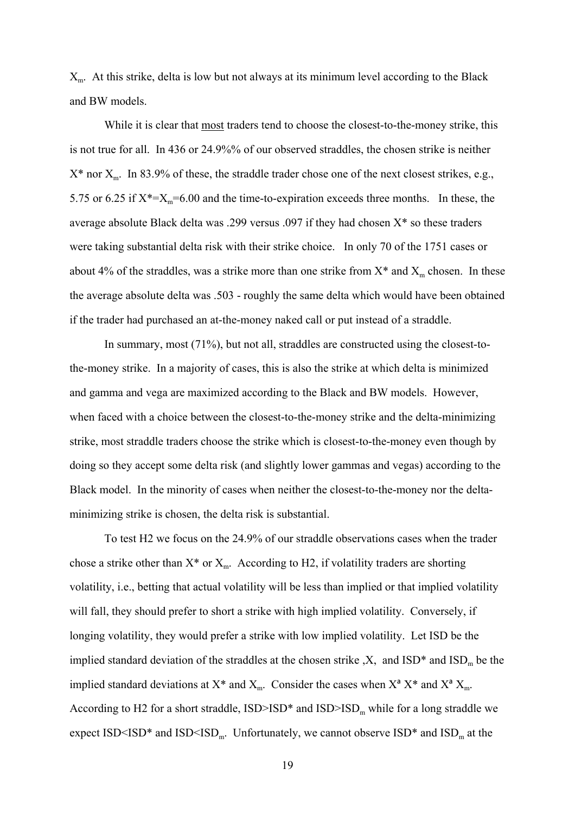$X<sub>m</sub>$ . At this strike, delta is low but not always at its minimum level according to the Black and BW models.

While it is clear that most traders tend to choose the closest-to-the-money strike, this is not true for all. In 436 or 24.9%% of our observed straddles, the chosen strike is neither  $X^*$  nor  $X_m$ . In 83.9% of these, the straddle trader chose one of the next closest strikes, e.g., 5.75 or 6.25 if  $X^* = X_m = 6.00$  and the time-to-expiration exceeds three months. In these, the average absolute Black delta was .299 versus .097 if they had chosen X\* so these traders were taking substantial delta risk with their strike choice. In only 70 of the 1751 cases or about 4% of the straddles, was a strike more than one strike from  $X^*$  and  $X_m$  chosen. In these the average absolute delta was .503 - roughly the same delta which would have been obtained if the trader had purchased an at-the-money naked call or put instead of a straddle.

In summary, most (71%), but not all, straddles are constructed using the closest-tothe-money strike. In a majority of cases, this is also the strike at which delta is minimized and gamma and vega are maximized according to the Black and BW models. However, when faced with a choice between the closest-to-the-money strike and the delta-minimizing strike, most straddle traders choose the strike which is closest-to-the-money even though by doing so they accept some delta risk (and slightly lower gammas and vegas) according to the Black model. In the minority of cases when neither the closest-to-the-money nor the deltaminimizing strike is chosen, the delta risk is substantial.

To test H2 we focus on the 24.9% of our straddle observations cases when the trader chose a strike other than  $X^*$  or  $X_m$ . According to H2, if volatility traders are shorting volatility, i.e., betting that actual volatility will be less than implied or that implied volatility will fall, they should prefer to short a strike with high implied volatility. Conversely, if longing volatility, they would prefer a strike with low implied volatility. Let ISD be the implied standard deviation of the straddles at the chosen strike  $X$ , and  $\text{ISD}^*$  and  $\text{ISD}_m$  be the implied standard deviations at  $X^*$  and  $X_m$ . Consider the cases when  $X^a X^*$  and  $X^a X_m$ . According to H2 for a short straddle,  $\text{ISD}>\text{ISD}^*$  and  $\text{ISD}>\text{ISD}_m$  while for a long straddle we expect ISD<ISD\* and ISD<ISD<sub>m</sub>. Unfortunately, we cannot observe  $\text{ISD}^*$  and  $\text{ISD}_m$  at the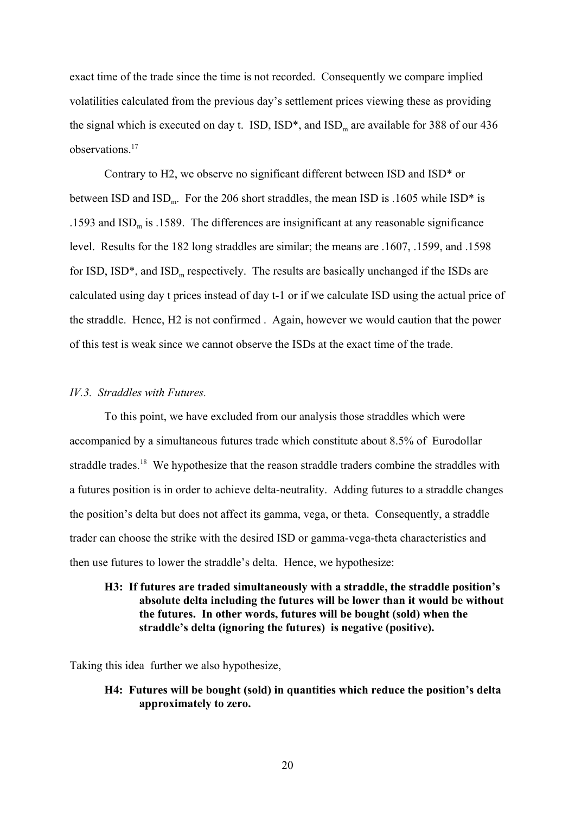exact time of the trade since the time is not recorded. Consequently we compare implied volatilities calculated from the previous day's settlement prices viewing these as providing the signal which is executed on day t.  $ISD$ ,  $ISD^*$ , and  $ISD_m$  are available for 388 of our 436 observations<sup>17</sup>

Contrary to H2, we observe no significant different between ISD and ISD\* or between ISD and  $\text{ISD}_{\text{m}}$ . For the 206 short straddles, the mean ISD is .1605 while ISD\* is .1593 and  $ISD<sub>m</sub>$  is .1589. The differences are insignificant at any reasonable significance level. Results for the 182 long straddles are similar; the means are .1607, .1599, and .1598 for ISD,  $\text{ISD*}$ , and  $\text{ISD}_{\text{m}}$  respectively. The results are basically unchanged if the ISDs are calculated using day t prices instead of day t-1 or if we calculate ISD using the actual price of the straddle. Hence, H2 is not confirmed . Again, however we would caution that the power of this test is weak since we cannot observe the ISDs at the exact time of the trade.

#### *IV.3. Straddles with Futures.*

To this point, we have excluded from our analysis those straddles which were accompanied by a simultaneous futures trade which constitute about 8.5% of Eurodollar straddle trades.<sup>18</sup> We hypothesize that the reason straddle traders combine the straddles with a futures position is in order to achieve delta-neutrality. Adding futures to a straddle changes the position's delta but does not affect its gamma, vega, or theta. Consequently, a straddle trader can choose the strike with the desired ISD or gamma-vega-theta characteristics and then use futures to lower the straddle's delta. Hence, we hypothesize:

### **H3: If futures are traded simultaneously with a straddle, the straddle position's absolute delta including the futures will be lower than it would be without the futures. In other words, futures will be bought (sold) when the straddle's delta (ignoring the futures) is negative (positive).**

Taking this idea further we also hypothesize,

### **H4: Futures will be bought (sold) in quantities which reduce the position's delta approximately to zero.**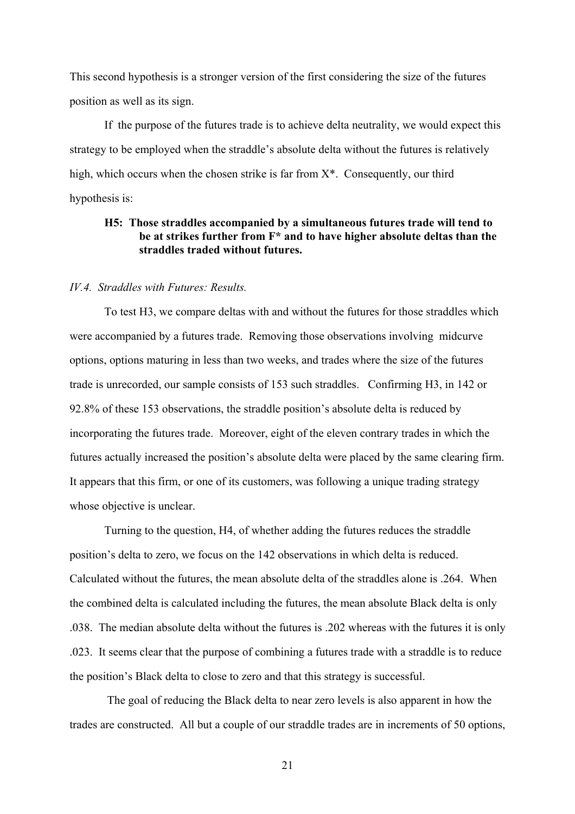This second hypothesis is a stronger version of the first considering the size of the futures position as well as its sign.

If the purpose of the futures trade is to achieve delta neutrality, we would expect this strategy to be employed when the straddle's absolute delta without the futures is relatively high, which occurs when the chosen strike is far from X\*. Consequently, our third hypothesis is:

# **H5: Those straddles accompanied by a simultaneous futures trade will tend to be at strikes further from F\* and to have higher absolute deltas than the straddles traded without futures.**

#### *IV.4. Straddles with Futures: Results.*

To test H3, we compare deltas with and without the futures for those straddles which were accompanied by a futures trade. Removing those observations involving midcurve options, options maturing in less than two weeks, and trades where the size of the futures trade is unrecorded, our sample consists of 153 such straddles. Confirming H3, in 142 or 92.8% of these 153 observations, the straddle position's absolute delta is reduced by incorporating the futures trade. Moreover, eight of the eleven contrary trades in which the futures actually increased the position's absolute delta were placed by the same clearing firm. It appears that this firm, or one of its customers, was following a unique trading strategy whose objective is unclear.

Turning to the question, H4, of whether adding the futures reduces the straddle position's delta to zero, we focus on the 142 observations in which delta is reduced. Calculated without the futures, the mean absolute delta of the straddles alone is .264. When the combined delta is calculated including the futures, the mean absolute Black delta is only .038. The median absolute delta without the futures is .202 whereas with the futures it is only .023. It seems clear that the purpose of combining a futures trade with a straddle is to reduce the position's Black delta to close to zero and that this strategy is successful.

 The goal of reducing the Black delta to near zero levels is also apparent in how the trades are constructed. All but a couple of our straddle trades are in increments of 50 options,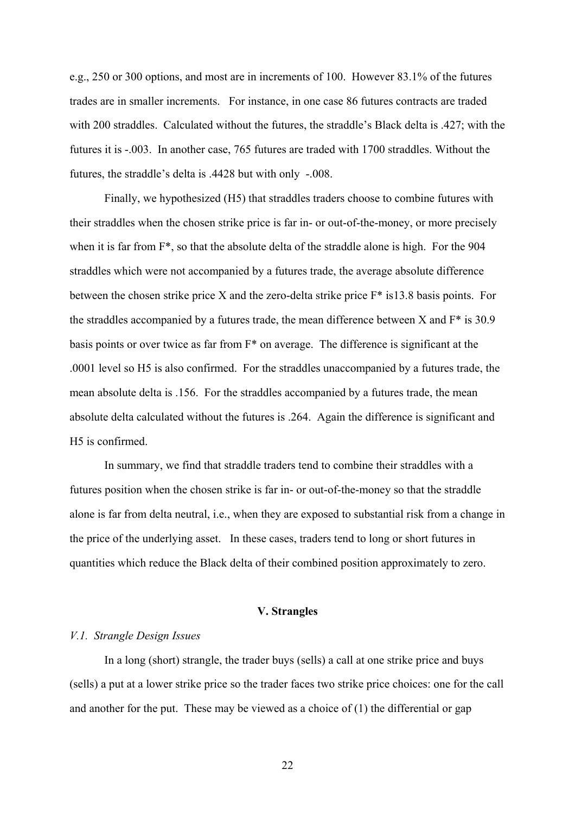e.g., 250 or 300 options, and most are in increments of 100. However 83.1% of the futures trades are in smaller increments. For instance, in one case 86 futures contracts are traded with 200 straddles. Calculated without the futures, the straddle's Black delta is .427; with the futures it is -.003. In another case, 765 futures are traded with 1700 straddles. Without the futures, the straddle's delta is .4428 but with only -.008.

Finally, we hypothesized (H5) that straddles traders choose to combine futures with their straddles when the chosen strike price is far in- or out-of-the-money, or more precisely when it is far from F\*, so that the absolute delta of the straddle alone is high. For the 904 straddles which were not accompanied by a futures trade, the average absolute difference between the chosen strike price X and the zero-delta strike price F\* is13.8 basis points. For the straddles accompanied by a futures trade, the mean difference between  $X$  and  $F^*$  is 30.9 basis points or over twice as far from F\* on average. The difference is significant at the .0001 level so H5 is also confirmed. For the straddles unaccompanied by a futures trade, the mean absolute delta is .156. For the straddles accompanied by a futures trade, the mean absolute delta calculated without the futures is .264. Again the difference is significant and H5 is confirmed.

In summary, we find that straddle traders tend to combine their straddles with a futures position when the chosen strike is far in- or out-of-the-money so that the straddle alone is far from delta neutral, i.e., when they are exposed to substantial risk from a change in the price of the underlying asset. In these cases, traders tend to long or short futures in quantities which reduce the Black delta of their combined position approximately to zero.

### **V. Strangles**

#### *V.1. Strangle Design Issues*

In a long (short) strangle, the trader buys (sells) a call at one strike price and buys (sells) a put at a lower strike price so the trader faces two strike price choices: one for the call and another for the put. These may be viewed as a choice of (1) the differential or gap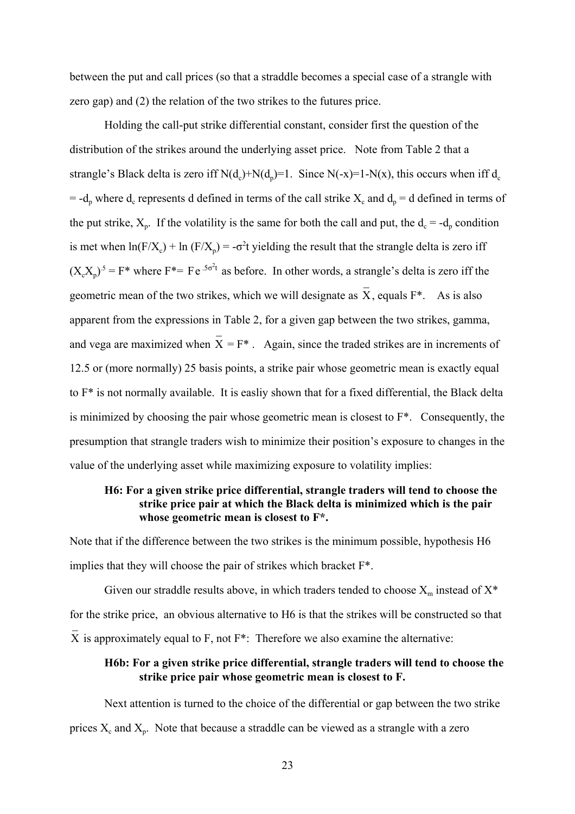between the put and call prices (so that a straddle becomes a special case of a strangle with zero gap) and (2) the relation of the two strikes to the futures price.

Holding the call-put strike differential constant, consider first the question of the distribution of the strikes around the underlying asset price. Note from Table 2 that a strangle's Black delta is zero iff  $N(d_c)+N(d_p)=1$ . Since  $N(-x)=1-N(x)$ , this occurs when iff  $d_c$  $= -d_p$  where  $d_c$  represents d defined in terms of the call strike  $X_c$  and  $d_p = d$  defined in terms of the put strike,  $X_p$ . If the volatility is the same for both the call and put, the  $d_c = -d_p$  condition is met when  $ln(F/X_c) + ln (F/X_p) = -\sigma^2 t$  yielding the result that the strangle delta is zero iff  $(X_c X_p)^5 = F^*$  where  $F^* = Fe^{-5\sigma^2 t}$  as before. In other words, a strangle's delta is zero iff the geometric mean of the two strikes, which we will designate as  $\overline{X}$ , equals F<sup>\*</sup>. As is also apparent from the expressions in Table 2, for a given gap between the two strikes, gamma, and vega are maximized when  $\overline{X} = F^*$ . Again, since the traded strikes are in increments of 12.5 or (more normally) 25 basis points, a strike pair whose geometric mean is exactly equal to F\* is not normally available. It is easliy shown that for a fixed differential, the Black delta is minimized by choosing the pair whose geometric mean is closest to F\*. Consequently, the presumption that strangle traders wish to minimize their position's exposure to changes in the value of the underlying asset while maximizing exposure to volatility implies:

## **H6: For a given strike price differential, strangle traders will tend to choose the strike price pair at which the Black delta is minimized which is the pair whose geometric mean is closest to F\*.**

Note that if the difference between the two strikes is the minimum possible, hypothesis H6 implies that they will choose the pair of strikes which bracket F\*.

Given our straddle results above, in which traders tended to choose  $X_m$  instead of  $X^*$ for the strike price, an obvious alternative to H6 is that the strikes will be constructed so that  $\overline{X}$  is approximately equal to F, not F<sup>\*</sup>: Therefore we also examine the alternative:

# **H6b: For a given strike price differential, strangle traders will tend to choose the strike price pair whose geometric mean is closest to F.**

Next attention is turned to the choice of the differential or gap between the two strike prices  $X_c$  and  $X_p$ . Note that because a straddle can be viewed as a strangle with a zero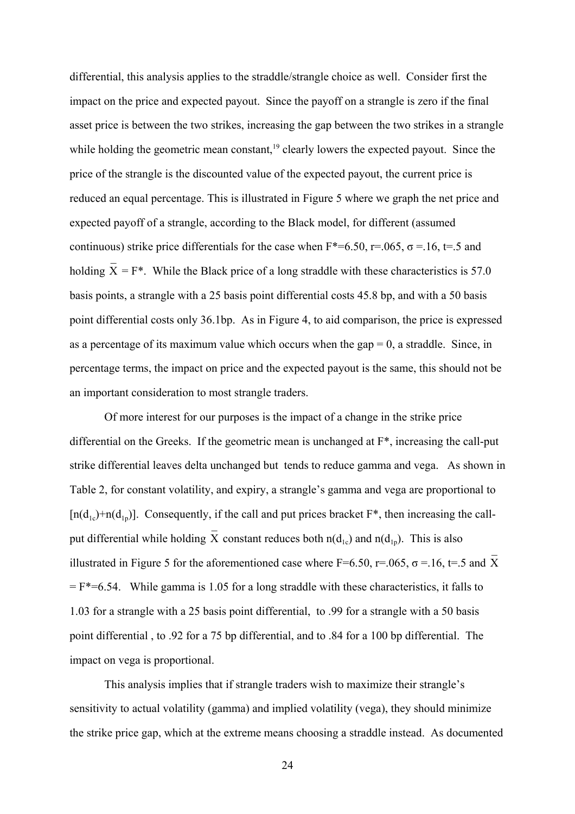differential, this analysis applies to the straddle/strangle choice as well. Consider first the impact on the price and expected payout. Since the payoff on a strangle is zero if the final asset price is between the two strikes, increasing the gap between the two strikes in a strangle while holding the geometric mean constant,<sup>19</sup> clearly lowers the expected payout. Since the price of the strangle is the discounted value of the expected payout, the current price is reduced an equal percentage. This is illustrated in Figure 5 where we graph the net price and expected payoff of a strangle, according to the Black model, for different (assumed continuous) strike price differentials for the case when  $F^*=6.50$ ,  $r=.065$ ,  $\sigma=.16$ ,  $t=.5$  and holding  $\overline{X} = F^*$ . While the Black price of a long straddle with these characteristics is 57.0 basis points, a strangle with a 25 basis point differential costs 45.8 bp, and with a 50 basis point differential costs only 36.1bp. As in Figure 4, to aid comparison, the price is expressed as a percentage of its maximum value which occurs when the gap  $= 0$ , a straddle. Since, in percentage terms, the impact on price and the expected payout is the same, this should not be an important consideration to most strangle traders.

Of more interest for our purposes is the impact of a change in the strike price differential on the Greeks. If the geometric mean is unchanged at F\*, increasing the call-put strike differential leaves delta unchanged but tends to reduce gamma and vega. As shown in Table 2, for constant volatility, and expiry, a strangle's gamma and vega are proportional to  $[n(d_{1p})+n(d_{1p})]$ . Consequently, if the call and put prices bracket  $F^*$ , then increasing the callput differential while holding  $\overline{X}$  constant reduces both n(d<sub>1c</sub>) and n(d<sub>1p</sub>). This is also illustrated in Figure 5 for the aforementioned case where F=6.50, r=.065,  $\sigma$  =.16, t=.5 and X  $=$  F<sup>\*</sup> $=$ 6.54. While gamma is 1.05 for a long straddle with these characteristics, it falls to 1.03 for a strangle with a 25 basis point differential, to .99 for a strangle with a 50 basis point differential , to .92 for a 75 bp differential, and to .84 for a 100 bp differential. The impact on vega is proportional.

This analysis implies that if strangle traders wish to maximize their strangle's sensitivity to actual volatility (gamma) and implied volatility (vega), they should minimize the strike price gap, which at the extreme means choosing a straddle instead. As documented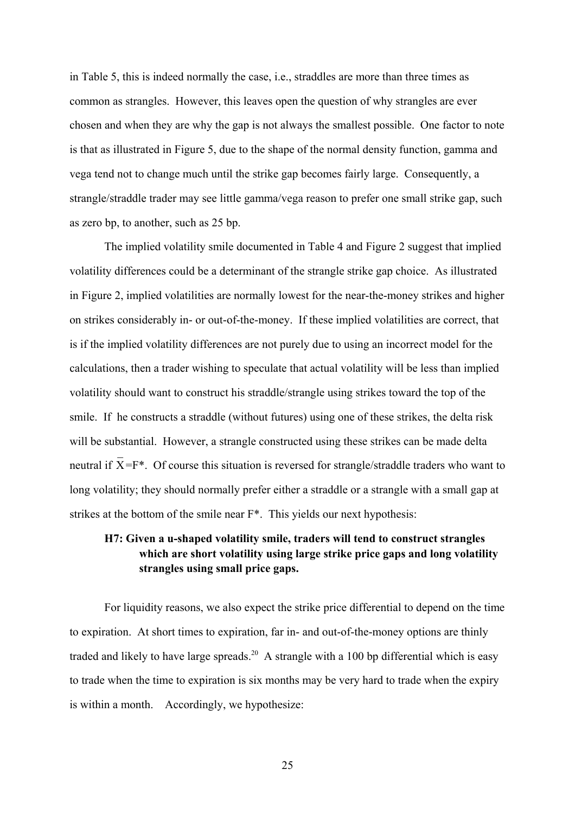in Table 5, this is indeed normally the case, i.e., straddles are more than three times as common as strangles. However, this leaves open the question of why strangles are ever chosen and when they are why the gap is not always the smallest possible. One factor to note is that as illustrated in Figure 5, due to the shape of the normal density function, gamma and vega tend not to change much until the strike gap becomes fairly large. Consequently, a strangle/straddle trader may see little gamma/vega reason to prefer one small strike gap, such as zero bp, to another, such as 25 bp.

The implied volatility smile documented in Table 4 and Figure 2 suggest that implied volatility differences could be a determinant of the strangle strike gap choice. As illustrated in Figure 2, implied volatilities are normally lowest for the near-the-money strikes and higher on strikes considerably in- or out-of-the-money. If these implied volatilities are correct, that is if the implied volatility differences are not purely due to using an incorrect model for the calculations, then a trader wishing to speculate that actual volatility will be less than implied volatility should want to construct his straddle/strangle using strikes toward the top of the smile. If he constructs a straddle (without futures) using one of these strikes, the delta risk will be substantial. However, a strangle constructed using these strikes can be made delta neutral if  $\overline{X} = F^*$ . Of course this situation is reversed for strangle/straddle traders who want to long volatility; they should normally prefer either a straddle or a strangle with a small gap at strikes at the bottom of the smile near F\*. This yields our next hypothesis:

# **H7: Given a u-shaped volatility smile, traders will tend to construct strangles which are short volatility using large strike price gaps and long volatility strangles using small price gaps.**

For liquidity reasons, we also expect the strike price differential to depend on the time to expiration. At short times to expiration, far in- and out-of-the-money options are thinly traded and likely to have large spreads.<sup>20</sup> A strangle with a 100 bp differential which is easy to trade when the time to expiration is six months may be very hard to trade when the expiry is within a month. Accordingly, we hypothesize: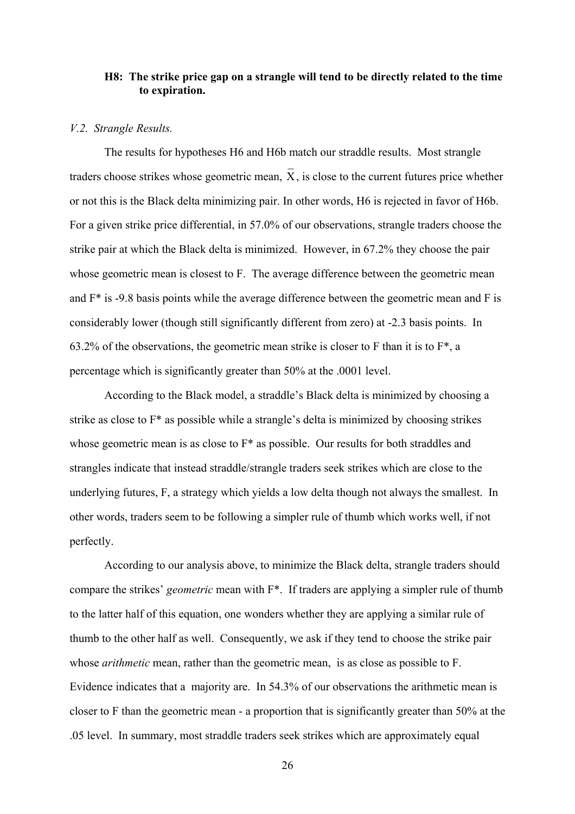### **H8: The strike price gap on a strangle will tend to be directly related to the time to expiration.**

#### *V.2. Strangle Results.*

The results for hypotheses H6 and H6b match our straddle results. Most strangle traders choose strikes whose geometric mean.  $\overline{X}$ , is close to the current futures price whether or not this is the Black delta minimizing pair. In other words, H6 is rejected in favor of H6b. For a given strike price differential, in 57.0% of our observations, strangle traders choose the strike pair at which the Black delta is minimized. However, in 67.2% they choose the pair whose geometric mean is closest to F. The average difference between the geometric mean and F\* is -9.8 basis points while the average difference between the geometric mean and F is considerably lower (though still significantly different from zero) at -2.3 basis points. In 63.2% of the observations, the geometric mean strike is closer to F than it is to  $F^*$ , a percentage which is significantly greater than 50% at the .0001 level.

According to the Black model, a straddle's Black delta is minimized by choosing a strike as close to F\* as possible while a strangle's delta is minimized by choosing strikes whose geometric mean is as close to F\* as possible. Our results for both straddles and strangles indicate that instead straddle/strangle traders seek strikes which are close to the underlying futures, F, a strategy which yields a low delta though not always the smallest. In other words, traders seem to be following a simpler rule of thumb which works well, if not perfectly.

According to our analysis above, to minimize the Black delta, strangle traders should compare the strikes' *geometric* mean with F\*. If traders are applying a simpler rule of thumb to the latter half of this equation, one wonders whether they are applying a similar rule of thumb to the other half as well. Consequently, we ask if they tend to choose the strike pair whose *arithmetic* mean, rather than the geometric mean, is as close as possible to F. Evidence indicates that a majority are. In 54.3% of our observations the arithmetic mean is closer to F than the geometric mean - a proportion that is significantly greater than 50% at the .05 level. In summary, most straddle traders seek strikes which are approximately equal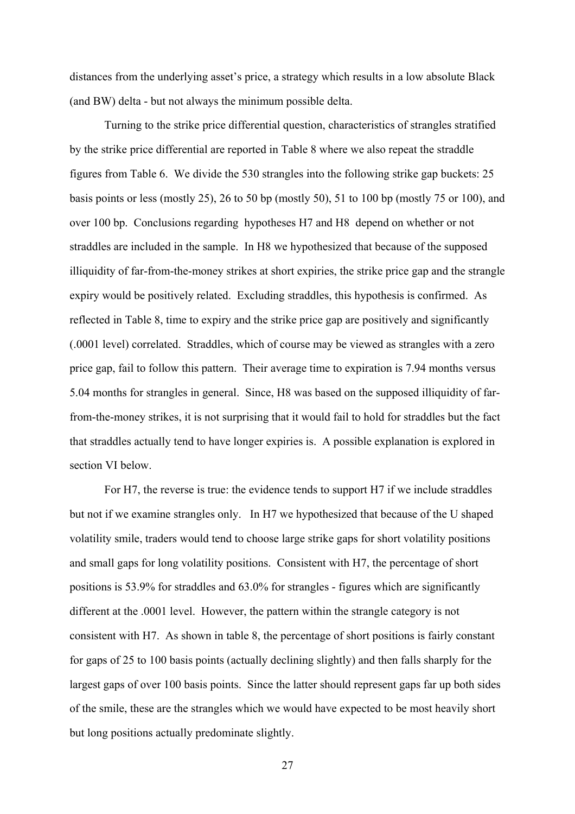distances from the underlying asset's price, a strategy which results in a low absolute Black (and BW) delta - but not always the minimum possible delta.

Turning to the strike price differential question, characteristics of strangles stratified by the strike price differential are reported in Table 8 where we also repeat the straddle figures from Table 6. We divide the 530 strangles into the following strike gap buckets: 25 basis points or less (mostly 25), 26 to 50 bp (mostly 50), 51 to 100 bp (mostly 75 or 100), and over 100 bp. Conclusions regarding hypotheses H7 and H8 depend on whether or not straddles are included in the sample. In H8 we hypothesized that because of the supposed illiquidity of far-from-the-money strikes at short expiries, the strike price gap and the strangle expiry would be positively related. Excluding straddles, this hypothesis is confirmed. As reflected in Table 8, time to expiry and the strike price gap are positively and significantly (.0001 level) correlated. Straddles, which of course may be viewed as strangles with a zero price gap, fail to follow this pattern. Their average time to expiration is 7.94 months versus 5.04 months for strangles in general. Since, H8 was based on the supposed illiquidity of farfrom-the-money strikes, it is not surprising that it would fail to hold for straddles but the fact that straddles actually tend to have longer expiries is. A possible explanation is explored in section VI below.

For H7, the reverse is true: the evidence tends to support H7 if we include straddles but not if we examine strangles only. In H7 we hypothesized that because of the U shaped volatility smile, traders would tend to choose large strike gaps for short volatility positions and small gaps for long volatility positions. Consistent with H7, the percentage of short positions is 53.9% for straddles and 63.0% for strangles - figures which are significantly different at the .0001 level. However, the pattern within the strangle category is not consistent with H7. As shown in table 8, the percentage of short positions is fairly constant for gaps of 25 to 100 basis points (actually declining slightly) and then falls sharply for the largest gaps of over 100 basis points. Since the latter should represent gaps far up both sides of the smile, these are the strangles which we would have expected to be most heavily short but long positions actually predominate slightly.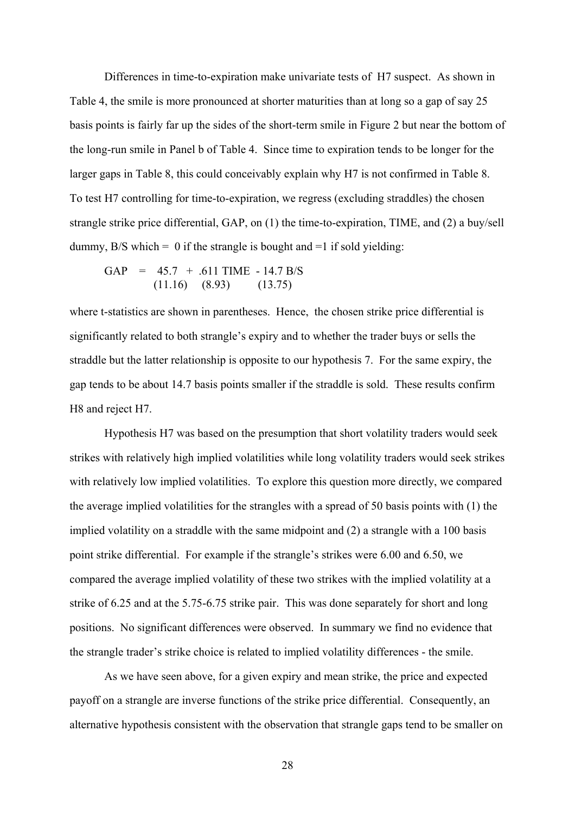Differences in time-to-expiration make univariate tests of H7 suspect. As shown in Table 4, the smile is more pronounced at shorter maturities than at long so a gap of say 25 basis points is fairly far up the sides of the short-term smile in Figure 2 but near the bottom of the long-run smile in Panel b of Table 4. Since time to expiration tends to be longer for the larger gaps in Table 8, this could conceivably explain why H7 is not confirmed in Table 8. To test H7 controlling for time-to-expiration, we regress (excluding straddles) the chosen strangle strike price differential, GAP, on (1) the time-to-expiration, TIME, and (2) a buy/sell dummy,  $B/S$  which = 0 if the strangle is bought and =1 if sold yielding:

$$
GAP = 45.7 + .611 \text{ TIME} - 14.7 \text{ B/S}
$$

$$
(11.16) (8.93) (13.75)
$$

where t-statistics are shown in parentheses. Hence, the chosen strike price differential is significantly related to both strangle's expiry and to whether the trader buys or sells the straddle but the latter relationship is opposite to our hypothesis 7. For the same expiry, the gap tends to be about 14.7 basis points smaller if the straddle is sold. These results confirm H8 and reject H7.

Hypothesis H7 was based on the presumption that short volatility traders would seek strikes with relatively high implied volatilities while long volatility traders would seek strikes with relatively low implied volatilities. To explore this question more directly, we compared the average implied volatilities for the strangles with a spread of 50 basis points with (1) the implied volatility on a straddle with the same midpoint and (2) a strangle with a 100 basis point strike differential. For example if the strangle's strikes were 6.00 and 6.50, we compared the average implied volatility of these two strikes with the implied volatility at a strike of 6.25 and at the 5.75-6.75 strike pair. This was done separately for short and long positions. No significant differences were observed. In summary we find no evidence that the strangle trader's strike choice is related to implied volatility differences - the smile.

As we have seen above, for a given expiry and mean strike, the price and expected payoff on a strangle are inverse functions of the strike price differential. Consequently, an alternative hypothesis consistent with the observation that strangle gaps tend to be smaller on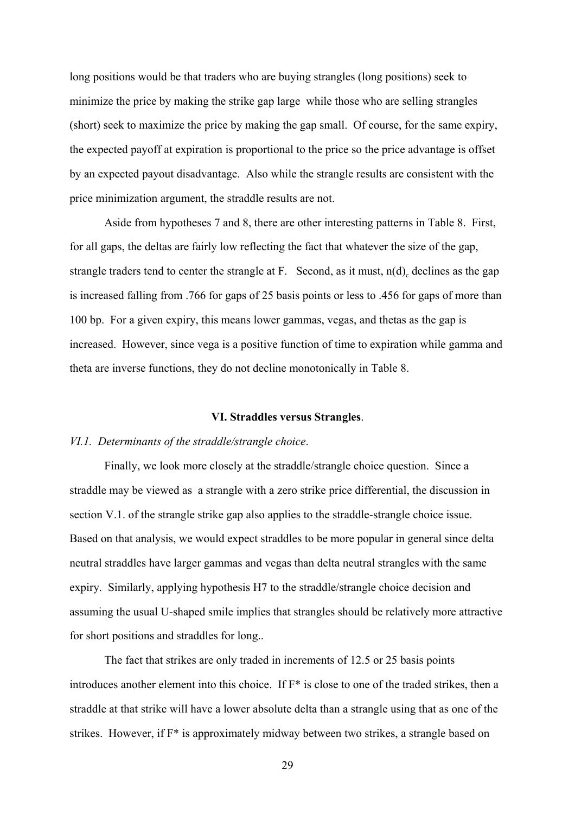long positions would be that traders who are buying strangles (long positions) seek to minimize the price by making the strike gap large while those who are selling strangles (short) seek to maximize the price by making the gap small. Of course, for the same expiry, the expected payoff at expiration is proportional to the price so the price advantage is offset by an expected payout disadvantage. Also while the strangle results are consistent with the price minimization argument, the straddle results are not.

Aside from hypotheses 7 and 8, there are other interesting patterns in Table 8. First, for all gaps, the deltas are fairly low reflecting the fact that whatever the size of the gap, strangle traders tend to center the strangle at F. Second, as it must,  $n(d)$ <sub>c</sub> declines as the gap is increased falling from .766 for gaps of 25 basis points or less to .456 for gaps of more than 100 bp. For a given expiry, this means lower gammas, vegas, and thetas as the gap is increased. However, since vega is a positive function of time to expiration while gamma and theta are inverse functions, they do not decline monotonically in Table 8.

#### **VI. Straddles versus Strangles**.

#### *VI.1. Determinants of the straddle/strangle choice*.

Finally, we look more closely at the straddle/strangle choice question. Since a straddle may be viewed as a strangle with a zero strike price differential, the discussion in section V.1. of the strangle strike gap also applies to the straddle-strangle choice issue. Based on that analysis, we would expect straddles to be more popular in general since delta neutral straddles have larger gammas and vegas than delta neutral strangles with the same expiry. Similarly, applying hypothesis H7 to the straddle/strangle choice decision and assuming the usual U-shaped smile implies that strangles should be relatively more attractive for short positions and straddles for long..

The fact that strikes are only traded in increments of 12.5 or 25 basis points introduces another element into this choice. If F\* is close to one of the traded strikes, then a straddle at that strike will have a lower absolute delta than a strangle using that as one of the strikes. However, if F\* is approximately midway between two strikes, a strangle based on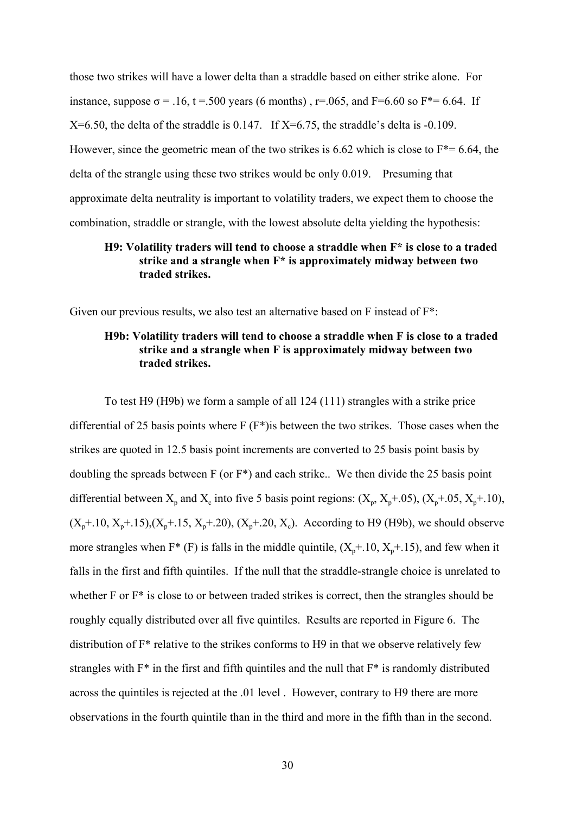those two strikes will have a lower delta than a straddle based on either strike alone. For instance, suppose  $\sigma$  = .16, t = .500 years (6 months), r=.065, and F=6.60 so F<sup>\*</sup>= 6.64. If  $X=6.50$ , the delta of the straddle is 0.147. If  $X=6.75$ , the straddle's delta is -0.109. However, since the geometric mean of the two strikes is 6.62 which is close to  $F^*=6.64$ , the delta of the strangle using these two strikes would be only 0.019. Presuming that approximate delta neutrality is important to volatility traders, we expect them to choose the combination, straddle or strangle, with the lowest absolute delta yielding the hypothesis:

### **H9: Volatility traders will tend to choose a straddle when F\* is close to a traded strike and a strangle when F\* is approximately midway between two traded strikes.**

Given our previous results, we also test an alternative based on F instead of F\*:

# **H9b: Volatility traders will tend to choose a straddle when F is close to a traded strike and a strangle when F is approximately midway between two traded strikes.**

To test H9 (H9b) we form a sample of all 124 (111) strangles with a strike price differential of 25 basis points where F (F\*)is between the two strikes. Those cases when the strikes are quoted in 12.5 basis point increments are converted to 25 basis point basis by doubling the spreads between F (or F\*) and each strike.. We then divide the 25 basis point differential between  $X_p$  and  $X_c$  into five 5 basis point regions:  $(X_p, X_p+.05)$ ,  $(X_p+.05, X_p+.10)$ ,  $(X_p+10, X_p+15)$ ,  $(X_p+15, X_p+20)$ ,  $(X_p+20, X_c)$ . According to H9 (H9b), we should observe more strangles when  $F^*(F)$  is falls in the middle quintile,  $(X_n+10, X_n+15)$ , and few when it falls in the first and fifth quintiles. If the null that the straddle-strangle choice is unrelated to whether F or  $F^*$  is close to or between traded strikes is correct, then the strangles should be roughly equally distributed over all five quintiles. Results are reported in Figure 6. The distribution of F\* relative to the strikes conforms to H9 in that we observe relatively few strangles with F\* in the first and fifth quintiles and the null that F\* is randomly distributed across the quintiles is rejected at the .01 level . However, contrary to H9 there are more observations in the fourth quintile than in the third and more in the fifth than in the second.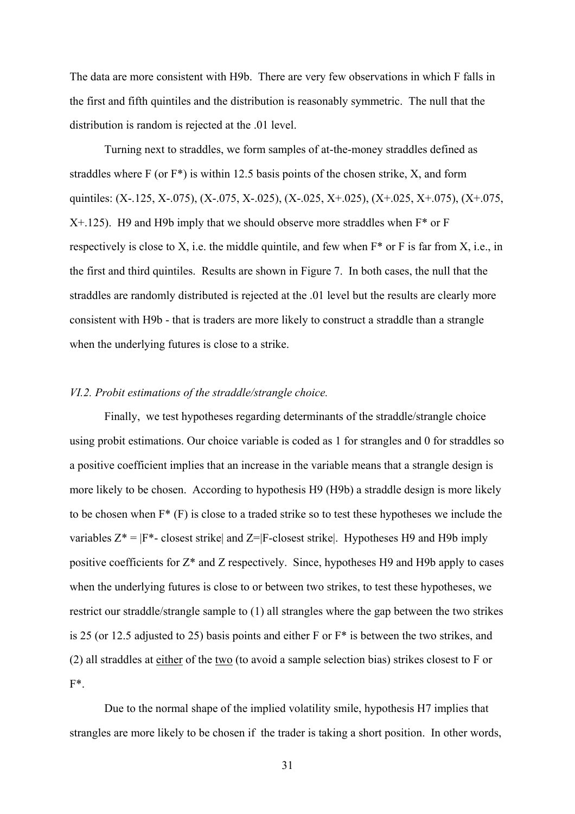The data are more consistent with H9b. There are very few observations in which F falls in the first and fifth quintiles and the distribution is reasonably symmetric. The null that the distribution is random is rejected at the .01 level.

Turning next to straddles, we form samples of at-the-money straddles defined as straddles where F (or  $F^*$ ) is within 12.5 basis points of the chosen strike, X, and form quintiles:  $(X-125, X-075)$ ,  $(X-075, X-025)$ ,  $(X-025, X+025)$ ,  $(X+025, X+075)$ ,  $(X+075, X-075)$  $X+125$ ). H9 and H9b imply that we should observe more straddles when  $F^*$  or F respectively is close to X, i.e. the middle quintile, and few when F\* or F is far from X, i.e., in the first and third quintiles. Results are shown in Figure 7. In both cases, the null that the straddles are randomly distributed is rejected at the .01 level but the results are clearly more consistent with H9b - that is traders are more likely to construct a straddle than a strangle when the underlying futures is close to a strike.

#### *VI.2. Probit estimations of the straddle/strangle choice.*

Finally, we test hypotheses regarding determinants of the straddle/strangle choice using probit estimations. Our choice variable is coded as 1 for strangles and 0 for straddles so a positive coefficient implies that an increase in the variable means that a strangle design is more likely to be chosen. According to hypothesis H9 (H9b) a straddle design is more likely to be chosen when  $F^*$  (F) is close to a traded strike so to test these hypotheses we include the variables  $Z^* = |F^* - \text{closest strike}|$  and  $Z = |F - \text{closest strike}|$ . Hypotheses H9 and H9b imply positive coefficients for Z\* and Z respectively. Since, hypotheses H9 and H9b apply to cases when the underlying futures is close to or between two strikes, to test these hypotheses, we restrict our straddle/strangle sample to (1) all strangles where the gap between the two strikes is 25 (or 12.5 adjusted to 25) basis points and either F or F\* is between the two strikes, and (2) all straddles at either of the two (to avoid a sample selection bias) strikes closest to F or F\*.

Due to the normal shape of the implied volatility smile, hypothesis H7 implies that strangles are more likely to be chosen if the trader is taking a short position. In other words,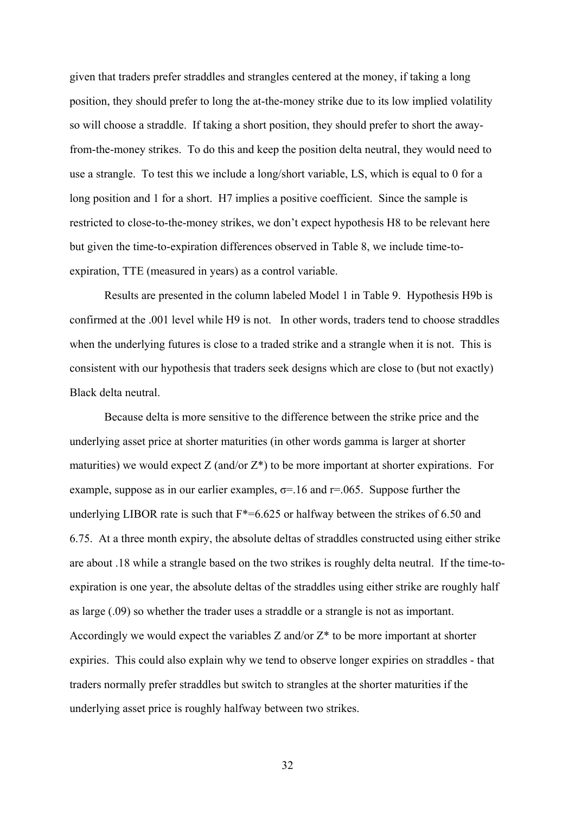given that traders prefer straddles and strangles centered at the money, if taking a long position, they should prefer to long the at-the-money strike due to its low implied volatility so will choose a straddle. If taking a short position, they should prefer to short the awayfrom-the-money strikes. To do this and keep the position delta neutral, they would need to use a strangle. To test this we include a long/short variable, LS, which is equal to 0 for a long position and 1 for a short. H7 implies a positive coefficient. Since the sample is restricted to close-to-the-money strikes, we don't expect hypothesis H8 to be relevant here but given the time-to-expiration differences observed in Table 8, we include time-toexpiration, TTE (measured in years) as a control variable.

Results are presented in the column labeled Model 1 in Table 9. Hypothesis H9b is confirmed at the .001 level while H9 is not. In other words, traders tend to choose straddles when the underlying futures is close to a traded strike and a strangle when it is not. This is consistent with our hypothesis that traders seek designs which are close to (but not exactly) Black delta neutral.

Because delta is more sensitive to the difference between the strike price and the underlying asset price at shorter maturities (in other words gamma is larger at shorter maturities) we would expect  $Z$  (and/or  $Z^*$ ) to be more important at shorter expirations. For example, suppose as in our earlier examples,  $\sigma$ =.16 and r=.065. Suppose further the underlying LIBOR rate is such that  $F^*=6.625$  or halfway between the strikes of 6.50 and 6.75. At a three month expiry, the absolute deltas of straddles constructed using either strike are about .18 while a strangle based on the two strikes is roughly delta neutral. If the time-toexpiration is one year, the absolute deltas of the straddles using either strike are roughly half as large (.09) so whether the trader uses a straddle or a strangle is not as important. Accordingly we would expect the variables  $Z$  and/or  $Z^*$  to be more important at shorter expiries. This could also explain why we tend to observe longer expiries on straddles - that traders normally prefer straddles but switch to strangles at the shorter maturities if the underlying asset price is roughly halfway between two strikes.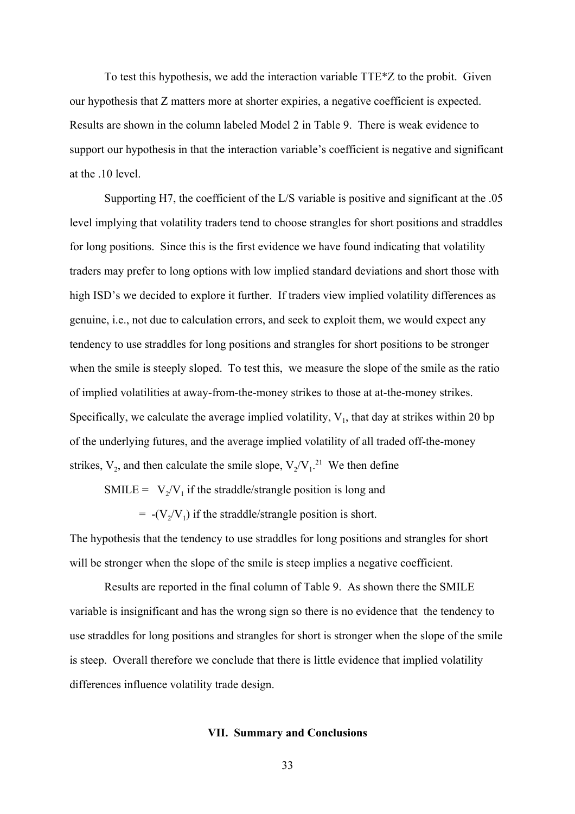To test this hypothesis, we add the interaction variable TTE\*Z to the probit. Given our hypothesis that Z matters more at shorter expiries, a negative coefficient is expected. Results are shown in the column labeled Model 2 in Table 9. There is weak evidence to support our hypothesis in that the interaction variable's coefficient is negative and significant at the .10 level.

Supporting H7, the coefficient of the L/S variable is positive and significant at the .05 level implying that volatility traders tend to choose strangles for short positions and straddles for long positions. Since this is the first evidence we have found indicating that volatility traders may prefer to long options with low implied standard deviations and short those with high ISD's we decided to explore it further. If traders view implied volatility differences as genuine, i.e., not due to calculation errors, and seek to exploit them, we would expect any tendency to use straddles for long positions and strangles for short positions to be stronger when the smile is steeply sloped. To test this, we measure the slope of the smile as the ratio of implied volatilities at away-from-the-money strikes to those at at-the-money strikes. Specifically, we calculate the average implied volatility,  $V_1$ , that day at strikes within 20 bp of the underlying futures, and the average implied volatility of all traded off-the-money strikes,  $V_2$ , and then calculate the smile slope,  $V_2/V_1$ <sup>21</sup> We then define

SMILE =  $V_2/V_1$  if the straddle/strangle position is long and

 $= -(V_2/V_1)$  if the straddle/strangle position is short.

The hypothesis that the tendency to use straddles for long positions and strangles for short will be stronger when the slope of the smile is steep implies a negative coefficient.

Results are reported in the final column of Table 9. As shown there the SMILE variable is insignificant and has the wrong sign so there is no evidence that the tendency to use straddles for long positions and strangles for short is stronger when the slope of the smile is steep. Overall therefore we conclude that there is little evidence that implied volatility differences influence volatility trade design.

#### **VII. Summary and Conclusions**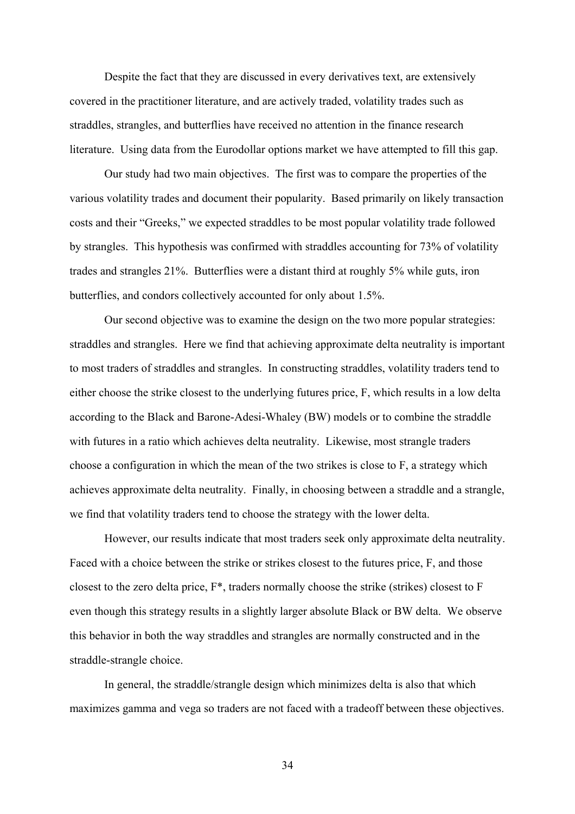Despite the fact that they are discussed in every derivatives text, are extensively covered in the practitioner literature, and are actively traded, volatility trades such as straddles, strangles, and butterflies have received no attention in the finance research literature. Using data from the Eurodollar options market we have attempted to fill this gap.

Our study had two main objectives. The first was to compare the properties of the various volatility trades and document their popularity. Based primarily on likely transaction costs and their "Greeks," we expected straddles to be most popular volatility trade followed by strangles. This hypothesis was confirmed with straddles accounting for 73% of volatility trades and strangles 21%. Butterflies were a distant third at roughly 5% while guts, iron butterflies, and condors collectively accounted for only about 1.5%.

Our second objective was to examine the design on the two more popular strategies: straddles and strangles. Here we find that achieving approximate delta neutrality is important to most traders of straddles and strangles. In constructing straddles, volatility traders tend to either choose the strike closest to the underlying futures price, F, which results in a low delta according to the Black and Barone-Adesi-Whaley (BW) models or to combine the straddle with futures in a ratio which achieves delta neutrality. Likewise, most strangle traders choose a configuration in which the mean of the two strikes is close to F, a strategy which achieves approximate delta neutrality. Finally, in choosing between a straddle and a strangle, we find that volatility traders tend to choose the strategy with the lower delta.

However, our results indicate that most traders seek only approximate delta neutrality. Faced with a choice between the strike or strikes closest to the futures price, F, and those closest to the zero delta price, F\*, traders normally choose the strike (strikes) closest to F even though this strategy results in a slightly larger absolute Black or BW delta. We observe this behavior in both the way straddles and strangles are normally constructed and in the straddle-strangle choice.

In general, the straddle/strangle design which minimizes delta is also that which maximizes gamma and vega so traders are not faced with a tradeoff between these objectives.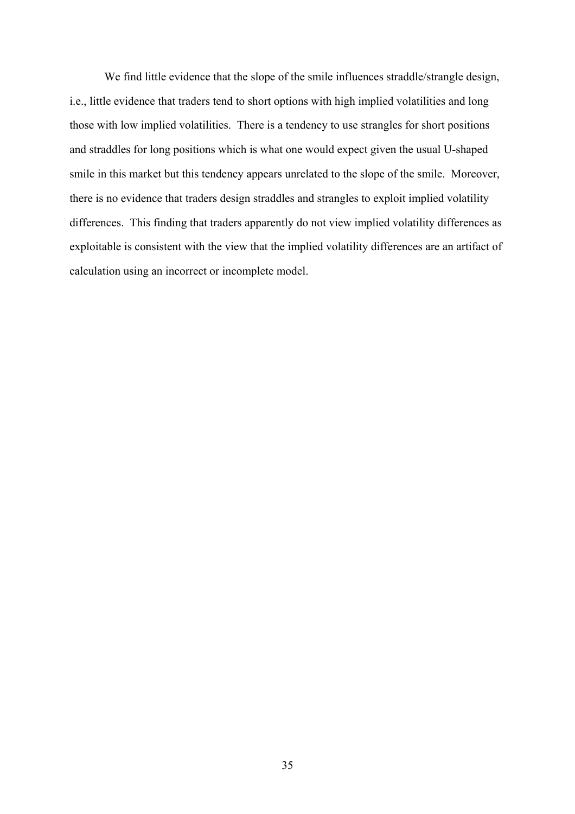We find little evidence that the slope of the smile influences straddle/strangle design, i.e., little evidence that traders tend to short options with high implied volatilities and long those with low implied volatilities. There is a tendency to use strangles for short positions and straddles for long positions which is what one would expect given the usual U-shaped smile in this market but this tendency appears unrelated to the slope of the smile. Moreover, there is no evidence that traders design straddles and strangles to exploit implied volatility differences. This finding that traders apparently do not view implied volatility differences as exploitable is consistent with the view that the implied volatility differences are an artifact of calculation using an incorrect or incomplete model.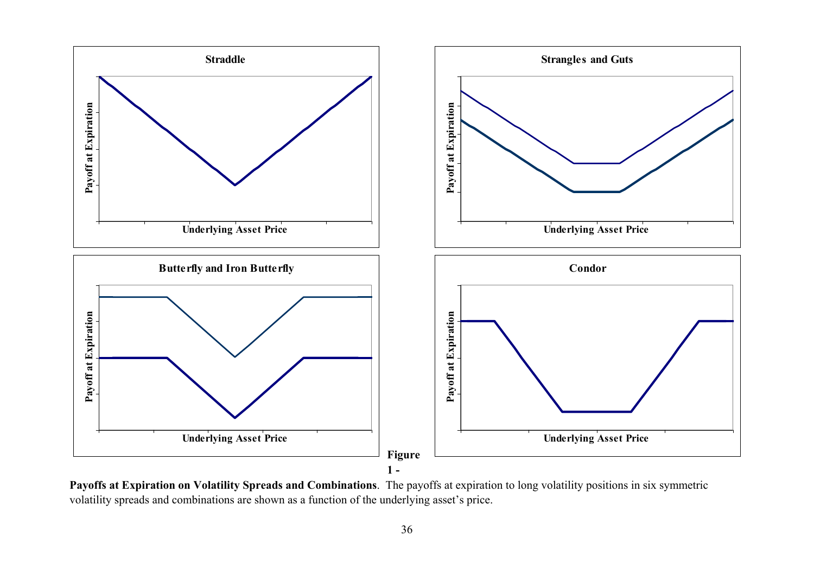

**Payoffs at Expiration on Volatility Spreads and Combinations**. The payoffs at expiration to long volatility positions in six symmetric volatility spreads and combinations are shown as a function of the underlying asset's price.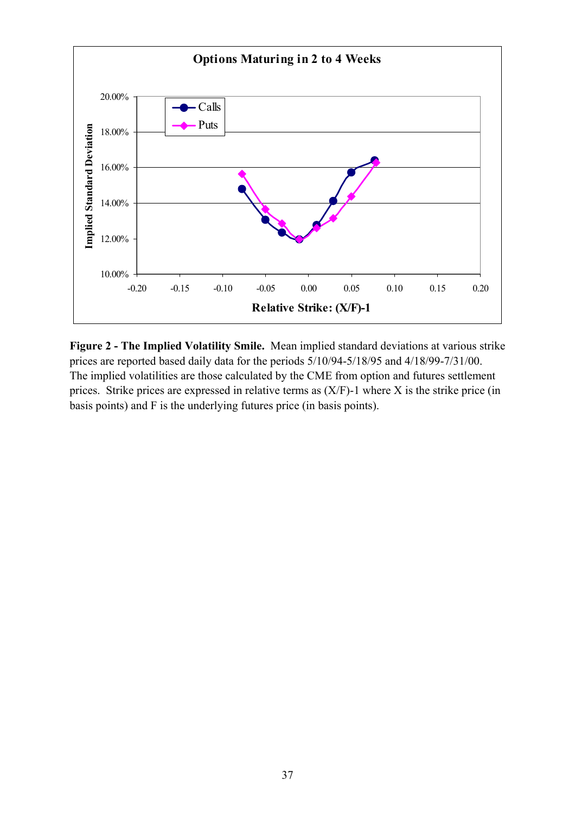

**Figure 2 - The Implied Volatility Smile.** Mean implied standard deviations at various strike prices are reported based daily data for the periods 5/10/94-5/18/95 and 4/18/99-7/31/00. The implied volatilities are those calculated by the CME from option and futures settlement prices. Strike prices are expressed in relative terms as (X/F)-1 where X is the strike price (in basis points) and F is the underlying futures price (in basis points).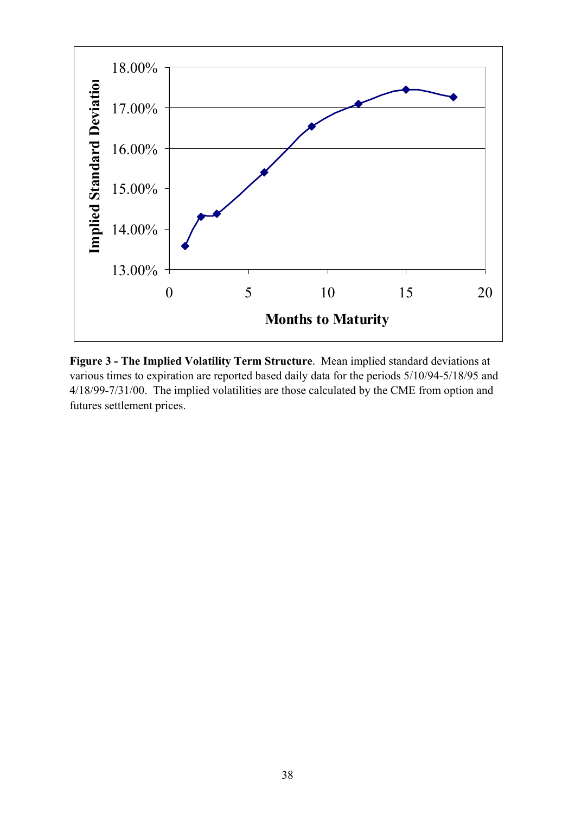

**Figure 3 - The Implied Volatility Term Structure**. Mean implied standard deviations at various times to expiration are reported based daily data for the periods 5/10/94-5/18/95 and 4/18/99-7/31/00. The implied volatilities are those calculated by the CME from option and futures settlement prices.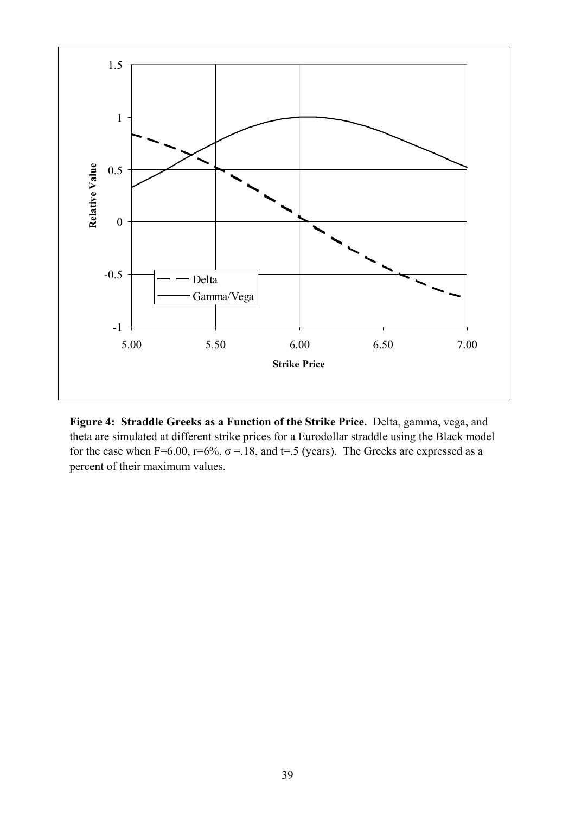

**Figure 4: Straddle Greeks as a Function of the Strike Price.** Delta, gamma, vega, and theta are simulated at different strike prices for a Eurodollar straddle using the Black model for the case when F=6.00, r=6%,  $\sigma$  =.18, and t=.5 (years). The Greeks are expressed as a percent of their maximum values.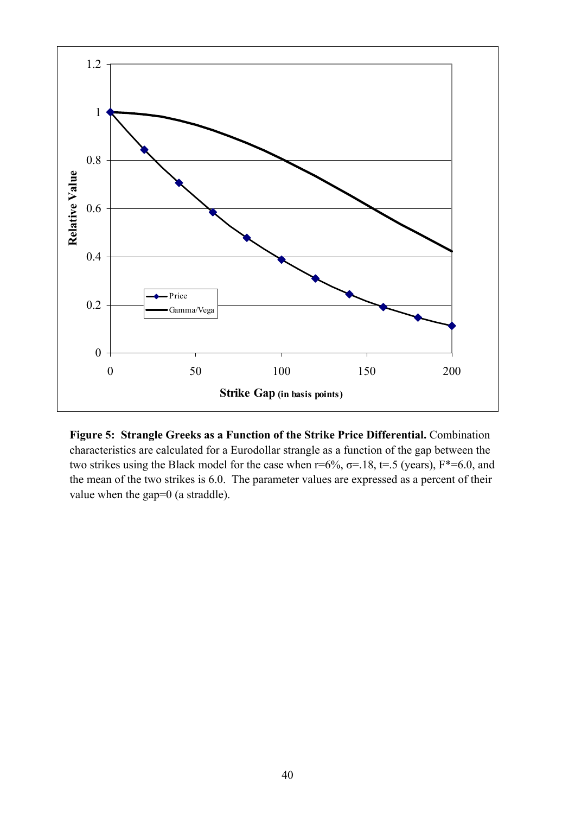

**Figure 5: Strangle Greeks as a Function of the Strike Price Differential.** Combination characteristics are calculated for a Eurodollar strangle as a function of the gap between the two strikes using the Black model for the case when  $r=6\%$ ,  $\sigma=18$ ,  $t=.5$  (years),  $F*=6.0$ , and the mean of the two strikes is 6.0. The parameter values are expressed as a percent of their value when the gap=0 (a straddle).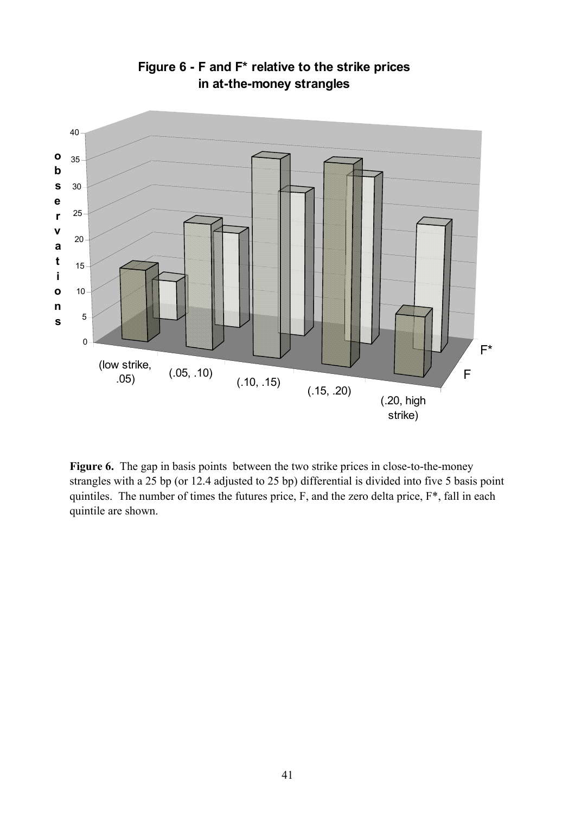

**Figure 6 - F and F\* relative to the strike prices in at-the-money strangles**

Figure 6. The gap in basis points between the two strike prices in close-to-the-money strangles with a 25 bp (or 12.4 adjusted to 25 bp) differential is divided into five 5 basis point quintiles. The number of times the futures price, F, and the zero delta price, F\*, fall in each quintile are shown.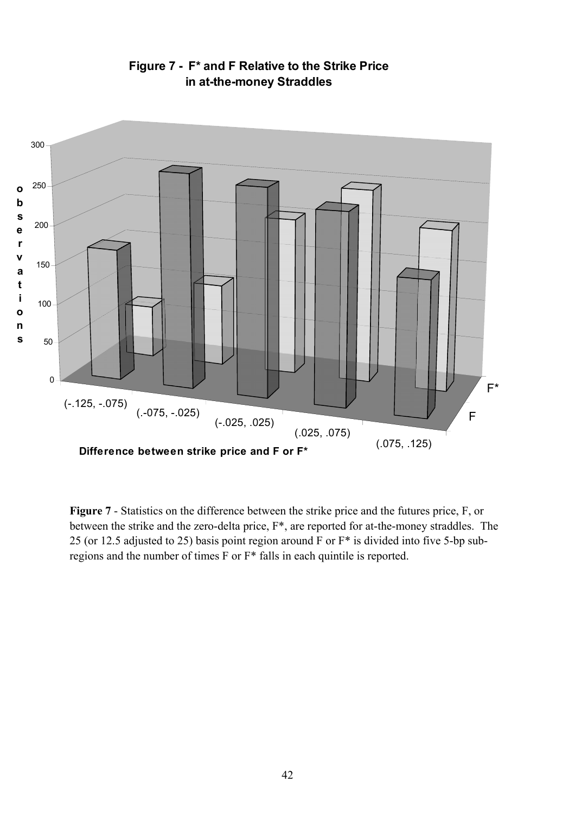

**Figure 7 - F\* and F Relative to the Strike Price in at-the-money Straddles**

**Figure 7** - Statistics on the difference between the strike price and the futures price, F, or between the strike and the zero-delta price, F\*, are reported for at-the-money straddles. The 25 (or 12.5 adjusted to 25) basis point region around F or F\* is divided into five 5-bp subregions and the number of times F or F\* falls in each quintile is reported.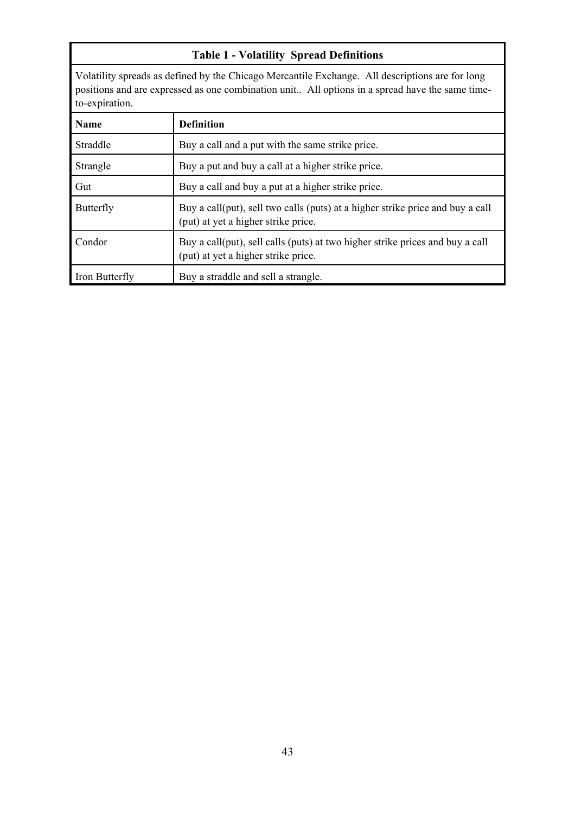# **Table 1 - Volatility Spread Definitions**

Volatility spreads as defined by the Chicago Mercantile Exchange. All descriptions are for long positions and are expressed as one combination unit.. All options in a spread have the same timeto-expiration.

| <b>Name</b>    | <b>Definition</b>                                                                                                     |
|----------------|-----------------------------------------------------------------------------------------------------------------------|
| Straddle       | Buy a call and a put with the same strike price.                                                                      |
| Strangle       | Buy a put and buy a call at a higher strike price.                                                                    |
| Gut            | Buy a call and buy a put at a higher strike price.                                                                    |
| Butterfly      | Buy a call(put), sell two calls (puts) at a higher strike price and buy a call<br>(put) at yet a higher strike price. |
| Condor         | Buy a call(put), sell calls (puts) at two higher strike prices and buy a call<br>(put) at yet a higher strike price.  |
| Iron Butterfly | Buy a straddle and sell a strangle.                                                                                   |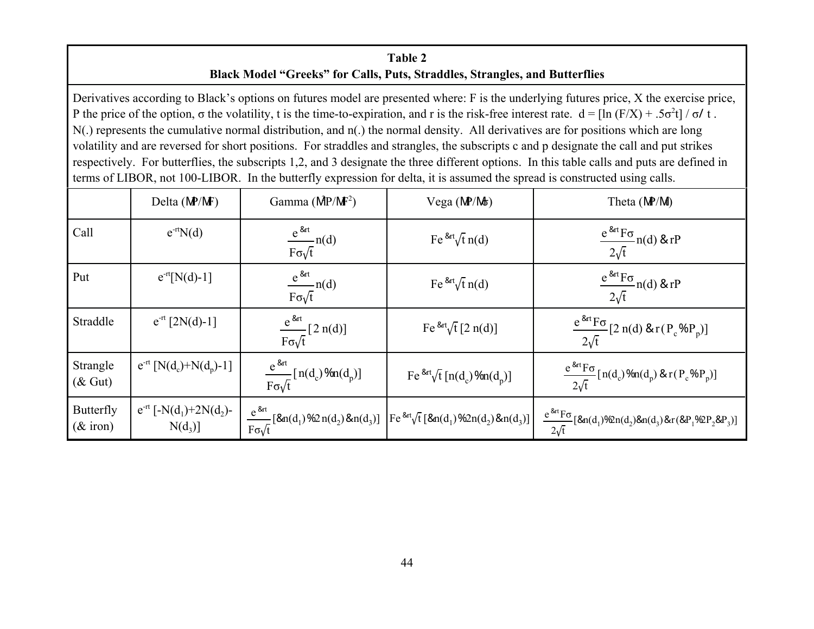# **Table 2 Black Model "Greeks" for Calls, Puts, Straddles, Strangles, and Butterflies**

Derivatives according to Black's options on futures model are presented where: F is the underlying futures price, X the exercise price, P the price of the option,  $\sigma$  the volatility, t is the time-to-expiration, and r is the risk-free interest rate.  $d = [\ln (F/X) + .5\sigma^2 t] / \sigma/t$ . N(.) represents the cumulative normal distribution, and n(.) the normal density. All derivatives are for positions which are long volatility and are reversed for short positions. For straddles and strangles, the subscripts c and p designate the call and put strikes respectively. For butterflies, the subscripts 1,2, and 3 designate the three different options. In this table calls and puts are defined in terms of LIBOR, not 100-LIBOR. In the butterfly expression for delta, it is assumed the spread is constructed using calls.

|                                 | Delta $(MP/MF)$                                                 | Gamma $(MP/MF2)$                                  | Vega (MP/Mt)                                                                                                                               | Theta (MP/M)                                                                     |
|---------------------------------|-----------------------------------------------------------------|---------------------------------------------------|--------------------------------------------------------------------------------------------------------------------------------------------|----------------------------------------------------------------------------------|
| Call                            | $e^{-rt}N(d)$                                                   | $\frac{e^{8at}}{F\sigma\sqrt{t}}n(d)$             | Fe $\frac{8at}{t}$ n(d)                                                                                                                    | $\frac{e^{8rt}F\sigma}{2\sqrt{t}}$ n(d) & rP                                     |
| Put                             | $e^{-rt}[N(d)-1]$                                               | $\frac{e^{8at}}{F\sigma\sqrt{t}}n(d)$             | Fe $\frac{8at}{t}$ n(d)                                                                                                                    | $\frac{e^{8at}F\sigma}{2\sqrt{t}}n(d)$ & rP                                      |
| Straddle                        | $e^{-rt}$ [2N(d)-1]                                             | $\frac{e^{8at}}{F\sigma\sqrt{t}}$ [2 n(d)]        | Fe $\sqrt[8]{t}$ [2 n(d)]                                                                                                                  | $\frac{e^{8at}F\sigma}{2\sqrt{t}}$ [2 n(d) & r(P <sub>c</sub> %P <sub>p</sub> )] |
| Strangle<br>$(\&$ Gut)          | $e^{-rt}$ [N(d <sub>c</sub> )+N(d <sub>p</sub> )-1]             | $\frac{e^{8at}}{F\sigma\sqrt{t}}[n(d_e)\%n(d_p)]$ | Fe ${}^{8rt}\sqrt{t}$ [n(d <sub>c</sub> ) %n(d <sub>p</sub> )]                                                                             | $\frac{e^{8at}F\sigma}{2\sqrt{t}}[n(d_c)\%n(d_p) & r(P_c\%P_p)]$                 |
| <b>Butterfly</b><br>$(\&$ iron) | $e^{-rt}$ [-N(d <sub>1</sub> )+2N(d <sub>2</sub> )-<br>$N(d_3)$ |                                                   | $\frac{e^{8at}}{F\sigma\sqrt{t}}\left[8an(d_1)\%2n(d_2)\&n(d_3)\right]\left[Fe^{8at}\sqrt{t}\left[8an(d_1)\%2n(d_2)\&n(d_3)\right]\right]$ | $\frac{e^{8at}F\sigma}{2\sqrt{t}}[8an(d_1)\%2n(d_2)\&(d_3)\&(8P_1\%2P_2\&P_3)]$  |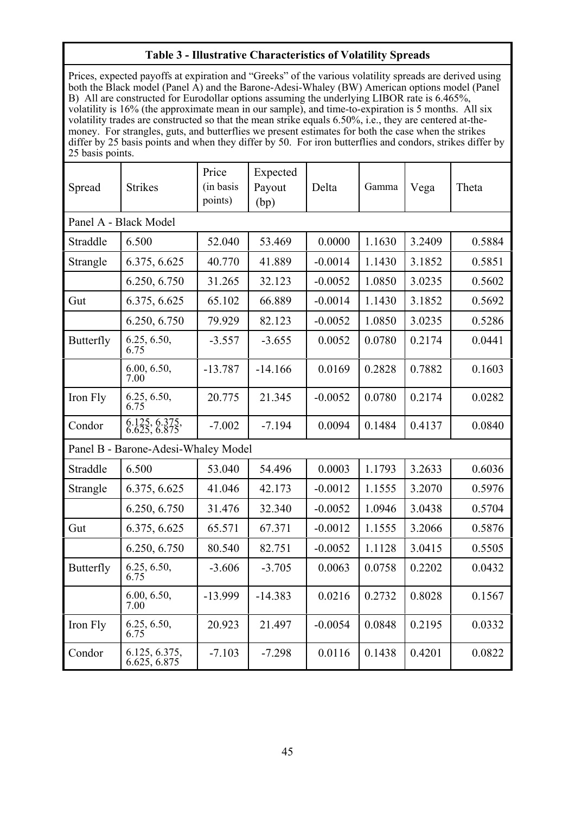### **Table 3 - Illustrative Characteristics of Volatility Spreads**

Prices, expected payoffs at expiration and "Greeks" of the various volatility spreads are derived using both the Black model (Panel A) and the Barone-Adesi-Whaley (BW) American options model (Panel B) All are constructed for Eurodollar options assuming the underlying LIBOR rate is 6.465%, volatility is 16% (the approximate mean in our sample), and time-to-expiration is 5 months. All six volatility trades are constructed so that the mean strike equals 6.50%, i.e., they are centered at-themoney. For strangles, guts, and butterflies we present estimates for both the case when the strikes differ by 25 basis points and when they differ by 50. For iron butterflies and condors, strikes differ by 25 basis points.

| Spread                | <b>Strikes</b>                      | Price<br>(in basis)<br>points) | Expected<br>Payout<br>(bp) | Delta     | Gamma  | Vega   | Theta  |  |
|-----------------------|-------------------------------------|--------------------------------|----------------------------|-----------|--------|--------|--------|--|
| Panel A - Black Model |                                     |                                |                            |           |        |        |        |  |
| Straddle              | 6.500                               | 52.040                         | 53.469                     | 0.0000    | 1.1630 | 3.2409 | 0.5884 |  |
| Strangle              | 6.375, 6.625                        | 40.770                         | 41.889                     | $-0.0014$ | 1.1430 | 3.1852 | 0.5851 |  |
|                       | 6.250, 6.750                        | 31.265                         | 32.123                     | $-0.0052$ | 1.0850 | 3.0235 | 0.5602 |  |
| Gut                   | 6.375, 6.625                        | 65.102                         | 66.889                     | $-0.0014$ | 1.1430 | 3.1852 | 0.5692 |  |
|                       | 6.250, 6.750                        | 79.929                         | 82.123                     | $-0.0052$ | 1.0850 | 3.0235 | 0.5286 |  |
| <b>Butterfly</b>      | 6.25, 6.50,<br>6.75                 | $-3.557$                       | $-3.655$                   | 0.0052    | 0.0780 | 0.2174 | 0.0441 |  |
|                       | 6.00, 6.50,<br>7.00                 | $-13.787$                      | $-14.166$                  | 0.0169    | 0.2828 | 0.7882 | 0.1603 |  |
| Iron Fly              | $6.25, 6.50,$<br>6.75               | 20.775                         | 21.345                     | $-0.0052$ | 0.0780 | 0.2174 | 0.0282 |  |
| Condor                | 6.125, 6.375, 6.625, 6.875          | $-7.002$                       | $-7.194$                   | 0.0094    | 0.1484 | 0.4137 | 0.0840 |  |
|                       | Panel B - Barone-Adesi-Whaley Model |                                |                            |           |        |        |        |  |
| Straddle              | 6.500                               | 53.040                         | 54.496                     | 0.0003    | 1.1793 | 3.2633 | 0.6036 |  |
| Strangle              | 6.375, 6.625                        | 41.046                         | 42.173                     | $-0.0012$ | 1.1555 | 3.2070 | 0.5976 |  |
|                       | 6.250, 6.750                        | 31.476                         | 32.340                     | $-0.0052$ | 1.0946 | 3.0438 | 0.5704 |  |
| Gut                   | 6.375, 6.625                        | 65.571                         | 67.371                     | $-0.0012$ | 1.1555 | 3.2066 | 0.5876 |  |
|                       | 6.250, 6.750                        | 80.540                         | 82.751                     | $-0.0052$ | 1.1128 | 3.0415 | 0.5505 |  |
| <b>Butterfly</b>      | $6.25, 6.50,$<br>6.75               | $-3.606$                       | $-3.705$                   | 0.0063    | 0.0758 | 0.2202 | 0.0432 |  |
|                       | 6.00, 6.50,<br>7.00                 | $-13.999$                      | $-14.383$                  | 0.0216    | 0.2732 | 0.8028 | 0.1567 |  |
| Iron Fly              | 6.25, 6.50,<br>6.75                 | 20.923                         | 21.497                     | $-0.0054$ | 0.0848 | 0.2195 | 0.0332 |  |
| Condor                | 6.125, 6.375,<br>6.625, 6.875       | $-7.103$                       | $-7.298$                   | 0.0116    | 0.1438 | 0.4201 | 0.0822 |  |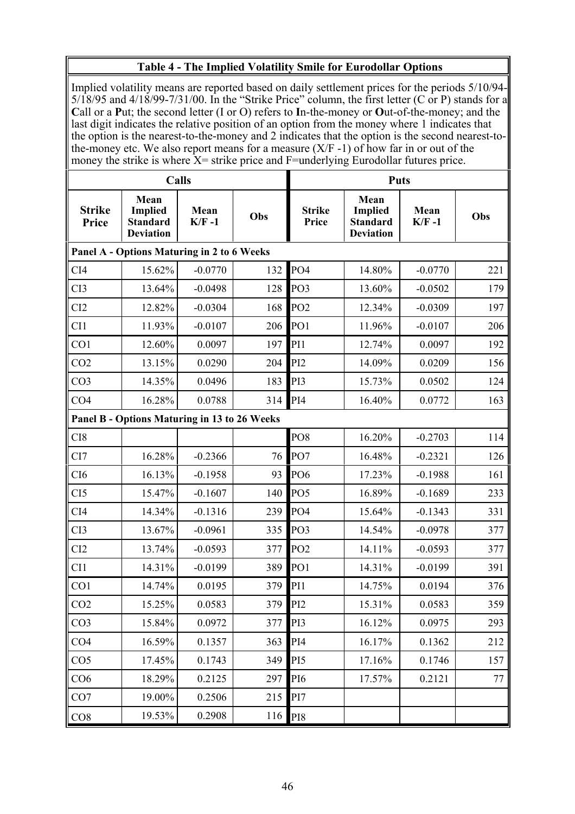# **Table 4 - The Implied Volatility Smile for Eurodollar Options**

Implied volatility means are reported based on daily settlement prices for the periods 5/10/94-  $5/18/95$  and  $4/18/99-7/31/00$ . In the "Strike Price" column, the first letter (C or P) stands for a **C**all or a **P**ut; the second letter (I or O) refers to **I**n-the-money or **O**ut-of-the-money; and the last digit indicates the relative position of an option from the money where 1 indicates that the option is the nearest-to-the-money and 2 indicates that the option is the second nearest-tothe-money etc. We also report means for a measure  $(X/F - 1)$  of how far in or out of the money the strike is where X= strike price and F=underlying Eurodollar futures price.

|                               |                                                               | <b>Calls</b>    |     | <b>Puts</b>            |                                                               |                  |     |
|-------------------------------|---------------------------------------------------------------|-----------------|-----|------------------------|---------------------------------------------------------------|------------------|-----|
| <b>Strike</b><br><b>Price</b> | Mean<br><b>Implied</b><br><b>Standard</b><br><b>Deviation</b> | Mean<br>$K/F-1$ | Obs | <b>Strike</b><br>Price | Mean<br><b>Implied</b><br><b>Standard</b><br><b>Deviation</b> | Mean<br>$K/F -1$ | Obs |
|                               | Panel A - Options Maturing in 2 to 6 Weeks                    |                 |     |                        |                                                               |                  |     |
| CI <sub>4</sub>               | 15.62%                                                        | $-0.0770$       | 132 | PO <sub>4</sub>        | 14.80%                                                        | $-0.0770$        | 221 |
| CI3                           | 13.64%                                                        | $-0.0498$       | 128 | PO <sub>3</sub>        | 13.60%                                                        | $-0.0502$        | 179 |
| CI2                           | 12.82%                                                        | $-0.0304$       | 168 | PO <sub>2</sub>        | 12.34%                                                        | $-0.0309$        | 197 |
| CI1                           | 11.93%                                                        | $-0.0107$       | 206 | PO <sub>1</sub>        | 11.96%                                                        | $-0.0107$        | 206 |
| CO1                           | 12.60%                                                        | 0.0097          | 197 | PI1                    | 12.74%                                                        | 0.0097           | 192 |
| CO <sub>2</sub>               | 13.15%                                                        | 0.0290          | 204 | PI <sub>2</sub>        | 14.09%                                                        | 0.0209           | 156 |
| CO <sub>3</sub>               | 14.35%                                                        | 0.0496          | 183 | PI3                    | 15.73%                                                        | 0.0502           | 124 |
| CO <sub>4</sub>               | 16.28%                                                        | 0.0788          | 314 | PI <sub>4</sub>        | 16.40%                                                        | 0.0772           | 163 |
|                               | Panel B - Options Maturing in 13 to 26 Weeks                  |                 |     |                        |                                                               |                  |     |
| CI <sub>8</sub>               |                                                               |                 |     | PO <sub>8</sub>        | 16.20%                                                        | $-0.2703$        | 114 |
| CI7                           | 16.28%                                                        | $-0.2366$       | 76  | PO7                    | 16.48%                                                        | $-0.2321$        | 126 |
| CI <sub>6</sub>               | 16.13%                                                        | $-0.1958$       | 93  | PO <sub>6</sub>        | 17.23%                                                        | $-0.1988$        | 161 |
| CI5                           | 15.47%                                                        | $-0.1607$       | 140 | PO <sub>5</sub>        | 16.89%                                                        | $-0.1689$        | 233 |
| CI4                           | 14.34%                                                        | $-0.1316$       | 239 | PO <sub>4</sub>        | 15.64%                                                        | $-0.1343$        | 331 |
| CI3                           | 13.67%                                                        | $-0.0961$       | 335 | PO <sub>3</sub>        | 14.54%                                                        | $-0.0978$        | 377 |
| CI2                           | 13.74%                                                        | $-0.0593$       | 377 | PO <sub>2</sub>        | 14.11%                                                        | $-0.0593$        | 377 |
| CI1                           | 14.31%                                                        | $-0.0199$       | 389 | PO <sub>1</sub>        | 14.31%                                                        | $-0.0199$        | 391 |
| CO1                           | 14.74%                                                        | 0.0195          | 379 | PI <sub>1</sub>        | 14.75%                                                        | 0.0194           | 376 |
| CO <sub>2</sub>               | 15.25%                                                        | 0.0583          | 379 | PI <sub>2</sub>        | 15.31%                                                        | 0.0583           | 359 |
| CO <sub>3</sub>               | 15.84%                                                        | 0.0972          | 377 | PI3                    | 16.12%                                                        | 0.0975           | 293 |
| CO <sub>4</sub>               | 16.59%                                                        | 0.1357          | 363 | PI <sub>4</sub>        | 16.17%                                                        | 0.1362           | 212 |
| CO <sub>5</sub>               | 17.45%                                                        | 0.1743          | 349 | PI <sub>5</sub>        | 17.16%                                                        | 0.1746           | 157 |
| CO <sub>6</sub>               | 18.29%                                                        | 0.2125          | 297 | P <sub>I6</sub>        | 17.57%                                                        | 0.2121           | 77  |
| CO7                           | 19.00%                                                        | 0.2506          | 215 | PI7                    |                                                               |                  |     |
| CO8                           | 19.53%                                                        | 0.2908          | 116 | PI8                    |                                                               |                  |     |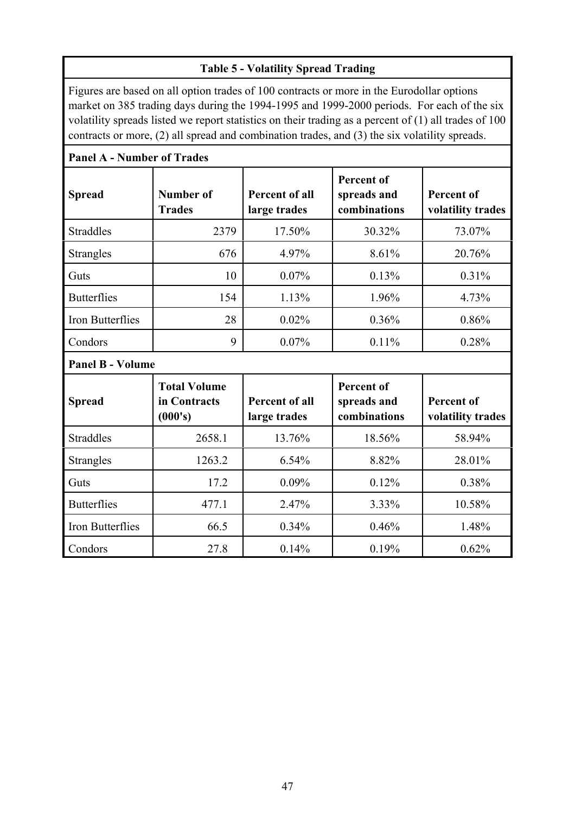# **Table 5 - Volatility Spread Trading**

Figures are based on all option trades of 100 contracts or more in the Eurodollar options market on 385 trading days during the 1994-1995 and 1999-2000 periods. For each of the six volatility spreads listed we report statistics on their trading as a percent of (1) all trades of 100 contracts or more, (2) all spread and combination trades, and (3) the six volatility spreads.

| <b>Panel A - Number of Trades</b> |                                                |                                       |                                                  |                                        |  |  |  |  |
|-----------------------------------|------------------------------------------------|---------------------------------------|--------------------------------------------------|----------------------------------------|--|--|--|--|
| <b>Spread</b>                     | Number of<br><b>Trades</b>                     | <b>Percent of all</b><br>large trades | <b>Percent of</b><br>spreads and<br>combinations | <b>Percent of</b><br>volatility trades |  |  |  |  |
| <b>Straddles</b>                  | 2379                                           | 17.50%                                | 30.32%                                           | 73.07%                                 |  |  |  |  |
| <b>Strangles</b>                  | 676                                            | 4.97%                                 | 8.61%                                            | 20.76%                                 |  |  |  |  |
| Guts                              | 10                                             | 0.07%                                 | 0.13%                                            | 0.31%                                  |  |  |  |  |
| <b>Butterflies</b>                | 154                                            | 1.13%                                 | 1.96%                                            | 4.73%                                  |  |  |  |  |
| Iron Butterflies                  | 28                                             | 0.02%                                 | 0.36%                                            | 0.86%                                  |  |  |  |  |
| Condors                           | 9                                              | 0.07%                                 | 0.11%                                            | 0.28%                                  |  |  |  |  |
| <b>Panel B - Volume</b>           |                                                |                                       |                                                  |                                        |  |  |  |  |
| <b>Spread</b>                     | <b>Total Volume</b><br>in Contracts<br>(000's) | <b>Percent of all</b><br>large trades | <b>Percent of</b><br>spreads and<br>combinations | <b>Percent of</b><br>volatility trades |  |  |  |  |
| <b>Straddles</b>                  | 2658.1                                         | 13.76%                                | 18.56%                                           | 58.94%                                 |  |  |  |  |
| <b>Strangles</b>                  | 1263.2                                         | 6.54%                                 | 8.82%                                            | 28.01%                                 |  |  |  |  |
| Guts                              | 17.2                                           | 0.09%                                 | 0.12%                                            | 0.38%                                  |  |  |  |  |
| <b>Butterflies</b>                | 477.1                                          | 2.47%                                 | 3.33%                                            | 10.58%                                 |  |  |  |  |
| Iron Butterflies                  | 66.5                                           | 0.34%                                 | 0.46%                                            | 1.48%                                  |  |  |  |  |
| Condors                           | 27.8                                           | 0.14%                                 | 0.19%                                            | 0.62%                                  |  |  |  |  |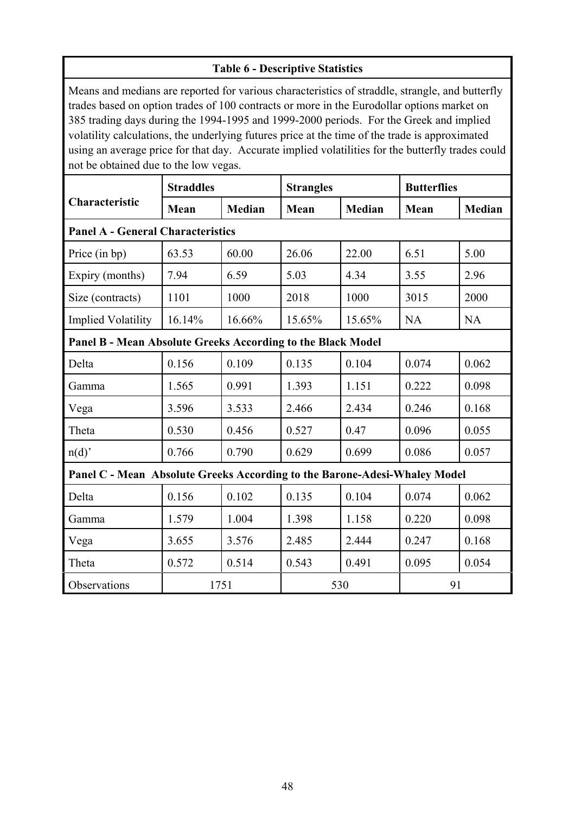| <b>Table 6 - Descriptive Statistics</b>                                                                                                                                                                                                                                                                                                                                                                                                                                                                                                 |                   |               |                  |               |                    |        |  |
|-----------------------------------------------------------------------------------------------------------------------------------------------------------------------------------------------------------------------------------------------------------------------------------------------------------------------------------------------------------------------------------------------------------------------------------------------------------------------------------------------------------------------------------------|-------------------|---------------|------------------|---------------|--------------------|--------|--|
| Means and medians are reported for various characteristics of straddle, strangle, and butterfly<br>trades based on option trades of 100 contracts or more in the Eurodollar options market on<br>385 trading days during the 1994-1995 and 1999-2000 periods. For the Greek and implied<br>volatility calculations, the underlying futures price at the time of the trade is approximated<br>using an average price for that day. Accurate implied volatilities for the butterfly trades could<br>not be obtained due to the low vegas. |                   |               |                  |               |                    |        |  |
|                                                                                                                                                                                                                                                                                                                                                                                                                                                                                                                                         | <b>Straddles</b>  |               | <b>Strangles</b> |               | <b>Butterflies</b> |        |  |
| Characteristic                                                                                                                                                                                                                                                                                                                                                                                                                                                                                                                          | Mean              | <b>Median</b> | Mean             | <b>Median</b> | Mean               | Median |  |
| <b>Panel A - General Characteristics</b>                                                                                                                                                                                                                                                                                                                                                                                                                                                                                                |                   |               |                  |               |                    |        |  |
| Price (in bp)                                                                                                                                                                                                                                                                                                                                                                                                                                                                                                                           | 63.53             | 60.00         | 26.06            | 22.00         | 6.51               | 5.00   |  |
| Expiry (months)                                                                                                                                                                                                                                                                                                                                                                                                                                                                                                                         | 7.94              | 6.59          | 5.03             | 4.34          | 3.55               | 2.96   |  |
| Size (contracts)                                                                                                                                                                                                                                                                                                                                                                                                                                                                                                                        | 1101              | 1000          | 2018             | 1000          | 3015               | 2000   |  |
| <b>Implied Volatility</b>                                                                                                                                                                                                                                                                                                                                                                                                                                                                                                               | 16.14%            | 16.66%        | 15.65%           | 15.65%        | <b>NA</b>          | NA     |  |
| Panel B - Mean Absolute Greeks According to the Black Model                                                                                                                                                                                                                                                                                                                                                                                                                                                                             |                   |               |                  |               |                    |        |  |
| Delta                                                                                                                                                                                                                                                                                                                                                                                                                                                                                                                                   | 0.156             | 0.109         | 0.135            | 0.104         | 0.074              | 0.062  |  |
| Gamma                                                                                                                                                                                                                                                                                                                                                                                                                                                                                                                                   | 1.565             | 0.991         | 1.393            | 1.151         | 0.222              | 0.098  |  |
| Vega                                                                                                                                                                                                                                                                                                                                                                                                                                                                                                                                    | 3.596             | 3.533         | 2.466            | 2.434         | 0.246              | 0.168  |  |
| Theta                                                                                                                                                                                                                                                                                                                                                                                                                                                                                                                                   | 0.530             | 0.456         | 0.527            | 0.47          | 0.096              | 0.055  |  |
| n(d)                                                                                                                                                                                                                                                                                                                                                                                                                                                                                                                                    | 0.766             | 0.790         | 0.629            | 0.699         | 0.086              | 0.057  |  |
| Panel C - Mean Absolute Greeks According to the Barone-Adesi-Whaley Model                                                                                                                                                                                                                                                                                                                                                                                                                                                               |                   |               |                  |               |                    |        |  |
| Delta                                                                                                                                                                                                                                                                                                                                                                                                                                                                                                                                   | 0.156             | 0.102         | 0.135            | 0.104         | 0.074              | 0.062  |  |
| Gamma                                                                                                                                                                                                                                                                                                                                                                                                                                                                                                                                   | 1.579             | 1.004         | 1.398            | 1.158         | 0.220              | 0.098  |  |
| Vega                                                                                                                                                                                                                                                                                                                                                                                                                                                                                                                                    | 3.655             | 3.576         | 2.485            | 2.444         | 0.247              | 0.168  |  |
| Theta                                                                                                                                                                                                                                                                                                                                                                                                                                                                                                                                   | 0.572             | 0.514         | 0.543            | 0.491         | 0.095              | 0.054  |  |
| Observations                                                                                                                                                                                                                                                                                                                                                                                                                                                                                                                            | 530<br>1751<br>91 |               |                  |               |                    |        |  |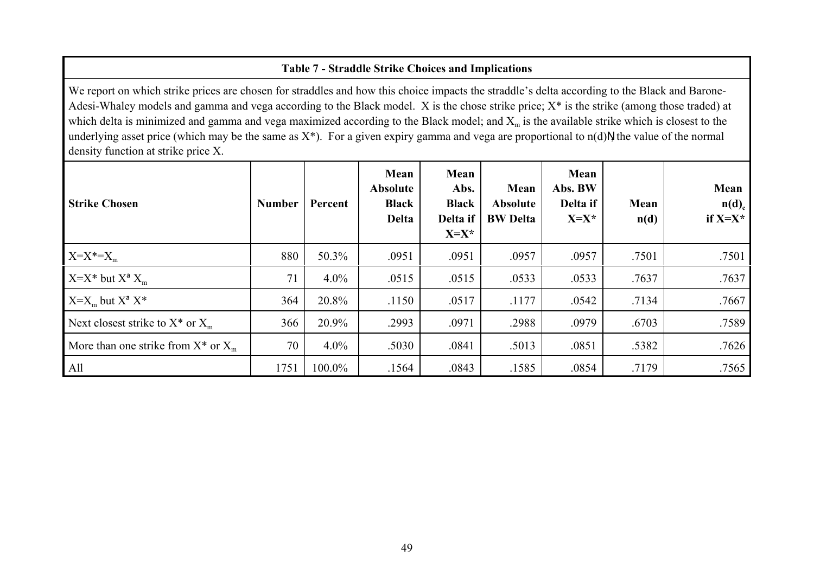# **Table 7 - Straddle Strike Choices and Implications**

We report on which strike prices are chosen for straddles and how this choice impacts the straddle's delta according to the Black and Barone-Adesi-Whaley models and gamma and vega according to the Black model. X is the chose strike price; X\* is the strike (among those traded) at which delta is minimized and gamma and vega maximized according to the Black model; and  $X_m$  is the available strike which is closest to the underlying asset price (which may be the same as  $X^*$ ). For a given expiry gamma and vega are proportional to  $n(d)N$  the value of the normal density function at strike price X.

| <b>Strike Chosen</b>                     | <b>Number</b> | Percent | Mean<br><b>Absolute</b><br><b>Black</b><br><b>Delta</b> | Mean<br>Abs.<br><b>Black</b><br>Delta if<br>$X=X^*$ | Mean<br><b>Absolute</b><br><b>BW</b> Delta | Mean<br>Abs. BW<br>Delta if<br>$X=X^*$ | Mean<br>n(d) | Mean<br>$n(d)$ <sub>c</sub><br>if $X=X^*$ |
|------------------------------------------|---------------|---------|---------------------------------------------------------|-----------------------------------------------------|--------------------------------------------|----------------------------------------|--------------|-------------------------------------------|
| $X=X^*=X_{m}$                            | 880           | 50.3%   | .0951                                                   | .0951                                               | .0957                                      | .0957                                  | .7501        | .7501                                     |
| $X=X^*$ but $X^d X_m$                    | 71            | $4.0\%$ | .0515                                                   | .0515                                               | .0533                                      | .0533                                  | .7637        | .7637                                     |
| $X=X_m$ but $X^a X^*$                    | 364           | 20.8%   | .1150                                                   | .0517                                               | .1177                                      | .0542                                  | .7134        | .7667                                     |
| Next closest strike to $X^*$ or $X_m$    | 366           | 20.9%   | .2993                                                   | .0971                                               | .2988                                      | .0979                                  | .6703        | .7589                                     |
| More than one strike from $X^*$ or $X_m$ | 70            | $4.0\%$ | .5030                                                   | .0841                                               | .5013                                      | .0851                                  | .5382        | .7626                                     |
| All                                      | 1751          | 100.0%  | .1564                                                   | .0843                                               | .1585                                      | .0854                                  | .7179        | .7565                                     |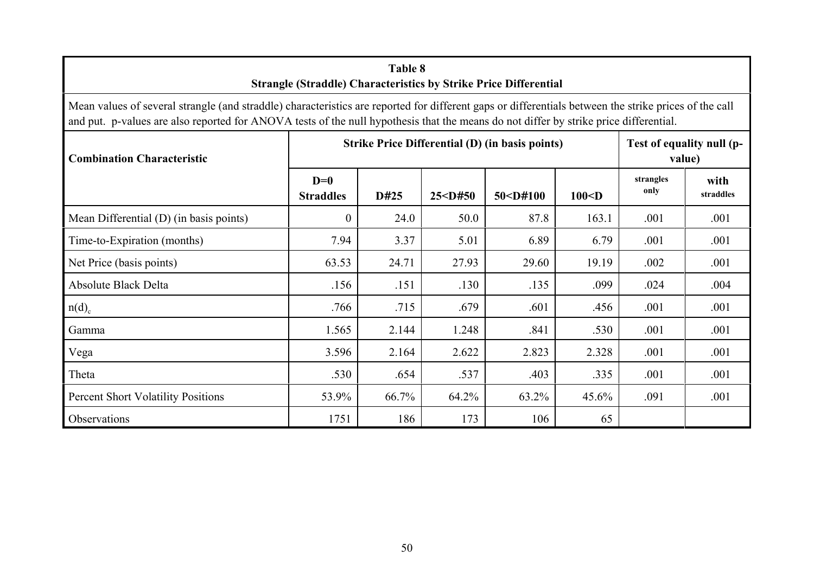| Table 8<br><b>Strangle (Straddle) Characteristics by Strike Price Differential</b>                                                                                                                                                                                                             |                           |       |           |            |          |                                     |                   |
|------------------------------------------------------------------------------------------------------------------------------------------------------------------------------------------------------------------------------------------------------------------------------------------------|---------------------------|-------|-----------|------------|----------|-------------------------------------|-------------------|
| Mean values of several strangle (and straddle) characteristics are reported for different gaps or differentials between the strike prices of the call<br>and put. p-values are also reported for ANOVA tests of the null hypothesis that the means do not differ by strike price differential. |                           |       |           |            |          |                                     |                   |
| Strike Price Differential (D) (in basis points)<br><b>Combination Characteristic</b>                                                                                                                                                                                                           |                           |       |           |            |          | Test of equality null (p-<br>value) |                   |
|                                                                                                                                                                                                                                                                                                | $D=0$<br><b>Straddles</b> | D#25  | 25 < D#50 | 50 < D#100 | $100<$ D | strangles<br>only                   | with<br>straddles |
| Mean Differential (D) (in basis points)                                                                                                                                                                                                                                                        | $\overline{0}$            | 24.0  | 50.0      | 87.8       | 163.1    | .001                                | .001              |
| Time-to-Expiration (months)                                                                                                                                                                                                                                                                    | 7.94                      | 3.37  | 5.01      | 6.89       | 6.79     | .001                                | .001              |
| Net Price (basis points)                                                                                                                                                                                                                                                                       | 63.53                     | 24.71 | 27.93     | 29.60      | 19.19    | .002                                | .001              |
| <b>Absolute Black Delta</b>                                                                                                                                                                                                                                                                    | .156                      | .151  | .130      | .135       | .099     | .024                                | .004              |
| $n(d)$ <sub>c</sub>                                                                                                                                                                                                                                                                            | .766                      | .715  | .679      | .601       | .456     | .001                                | .001              |
| Gamma                                                                                                                                                                                                                                                                                          | 1.565                     | 2.144 | 1.248     | .841       | .530     | .001                                | .001              |
| Vega                                                                                                                                                                                                                                                                                           | 3.596                     | 2.164 | 2.622     | 2.823      | 2.328    | .001                                | .001              |
| Theta                                                                                                                                                                                                                                                                                          | .530                      | .654  | .537      | .403       | .335     | .001                                | .001              |
| <b>Percent Short Volatility Positions</b>                                                                                                                                                                                                                                                      | 53.9%                     | 66.7% | 64.2%     | 63.2%      | 45.6%    | .091                                | .001              |
| Observations                                                                                                                                                                                                                                                                                   | 1751                      | 186   | 173       | 106        | 65       |                                     |                   |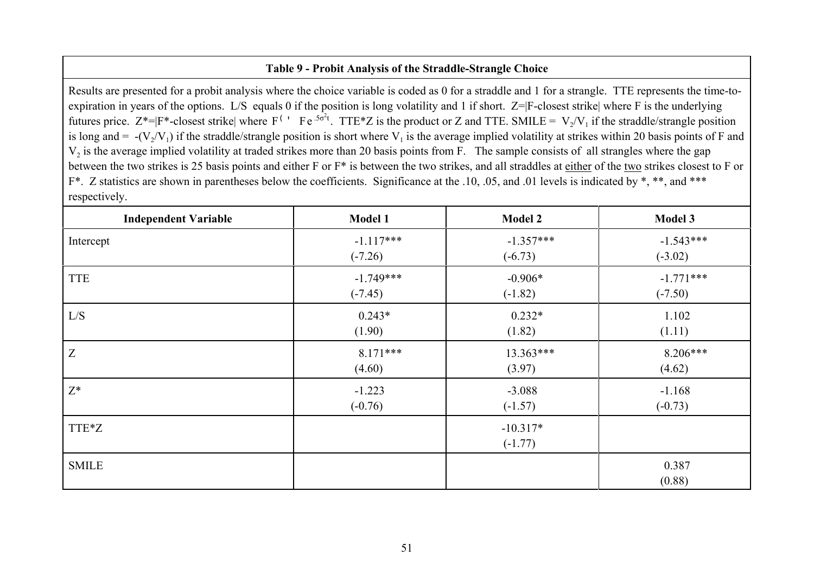### **Table 9 - Probit Analysis of the Straddle-Strangle Choice**

Results are presented for a probit analysis where the choice variable is coded as 0 for a straddle and 1 for a strangle. TTE represents the time-toexpiration in years of the options. L/S equals 0 if the position is long volatility and 1 if short. Z=|F-closest strike| where F is the underlying futures price.  $Z^* = |F^* - \text{closest strike}|$  where  $F^{\text{(1)}}$  Fe<sup>.5 $\sigma^2 t$ </sup>. TTE\*Z is the product or Z and TTE. SMILE =  $V_2/V_1$  if the straddle/strangle position is long and =  $-(V_2/V_1)$  if the straddle/strangle position is short where  $V_1$  is the average implied volatility at strikes within 20 basis points of F and  $V_2$  is the average implied volatility at traded strikes more than 20 basis points from F. The sample consists of all strangles where the gap between the two strikes is 25 basis points and either F or F\* is between the two strikes, and all straddles at either of the two strikes closest to F or F<sup>\*</sup>. Z statistics are shown in parentheses below the coefficients. Significance at the .10, .05, and .01 levels is indicated by \*, \*\*, and \*\*\* respectively.

| <b>Independent Variable</b> | <b>Model 1</b> | <b>Model 2</b>          | Model 3         |
|-----------------------------|----------------|-------------------------|-----------------|
| Intercept                   | $-1.117***$    | $-1.357***$             | $-1.543***$     |
|                             | $(-7.26)$      | $(-6.73)$               | $(-3.02)$       |
| <b>TTE</b>                  | $-1.749***$    | $-0.906*$               | $-1.771***$     |
|                             | $(-7.45)$      | $(-1.82)$               | $(-7.50)$       |
| L/S                         | $0.243*$       | $0.232*$                | 1.102           |
|                             | (1.90)         | (1.82)                  | (1.11)          |
| Z                           | $8.171***$     | 13.363***               | $8.206***$      |
|                             | (4.60)         | (3.97)                  | (4.62)          |
| $Z^*$                       | $-1.223$       | $-3.088$                | $-1.168$        |
|                             | $(-0.76)$      | $(-1.57)$               | $(-0.73)$       |
| TTE*Z                       |                | $-10.317*$<br>$(-1.77)$ |                 |
| <b>SMILE</b>                |                |                         | 0.387<br>(0.88) |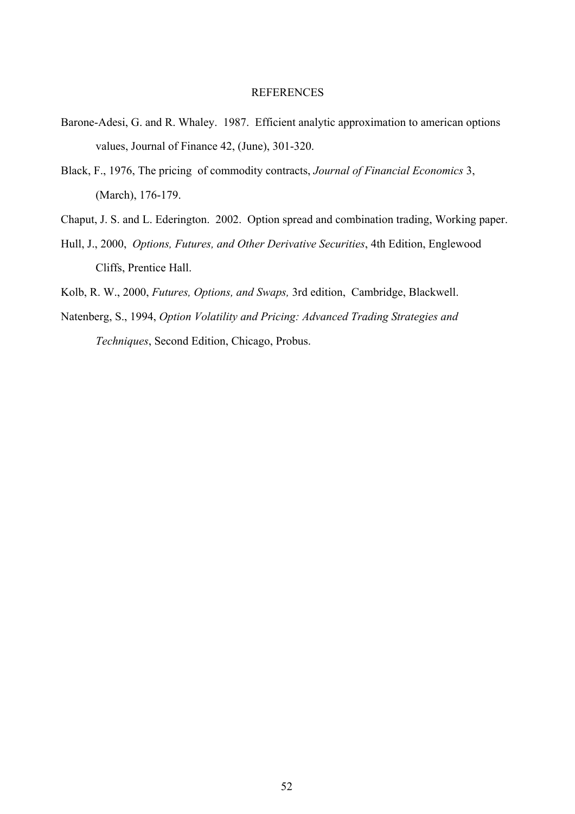#### REFERENCES

- Barone-Adesi, G. and R. Whaley. 1987. Efficient analytic approximation to american options values, Journal of Finance 42, (June), 301-320.
- Black, F., 1976, The pricing of commodity contracts, *Journal of Financial Economics* 3, (March), 176-179.
- Chaput, J. S. and L. Ederington. 2002. Option spread and combination trading, Working paper.
- Hull, J., 2000, *Options, Futures, and Other Derivative Securities*, 4th Edition, Englewood Cliffs, Prentice Hall.
- Kolb, R. W., 2000, *Futures, Options, and Swaps,* 3rd edition, Cambridge, Blackwell.
- Natenberg, S., 1994, *Option Volatility and Pricing: Advanced Trading Strategies and Techniques*, Second Edition, Chicago, Probus.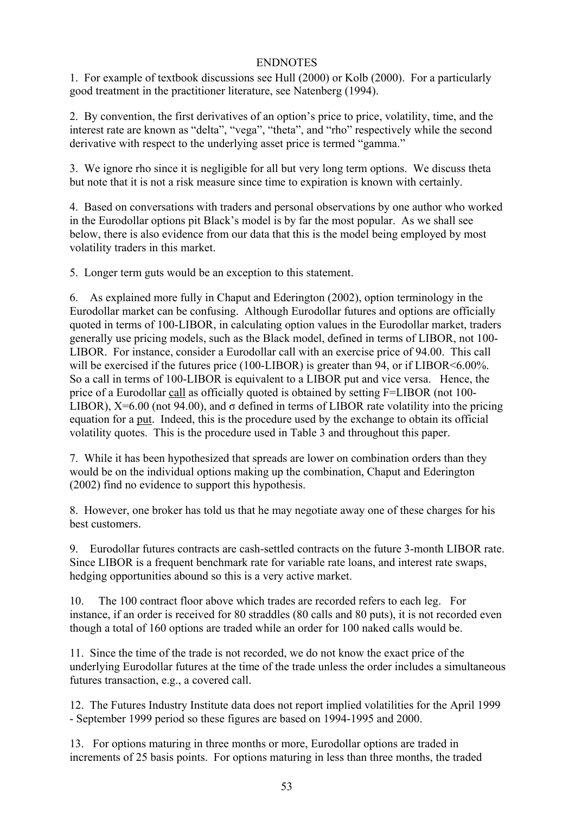# ENDNOTES

1. For example of textbook discussions see Hull (2000) or Kolb (2000). For a particularly good treatment in the practitioner literature, see Natenberg (1994).

2. By convention, the first derivatives of an option's price to price, volatility, time, and the interest rate are known as "delta", "vega", "theta", and "rho" respectively while the second derivative with respect to the underlying asset price is termed "gamma."

3. We ignore rho since it is negligible for all but very long term options. We discuss theta but note that it is not a risk measure since time to expiration is known with certainly.

4. Based on conversations with traders and personal observations by one author who worked in the Eurodollar options pit Black's model is by far the most popular. As we shall see below, there is also evidence from our data that this is the model being employed by most volatility traders in this market.

5. Longer term guts would be an exception to this statement.

6. As explained more fully in Chaput and Ederington (2002), option terminology in the Eurodollar market can be confusing. Although Eurodollar futures and options are officially quoted in terms of 100-LIBOR, in calculating option values in the Eurodollar market, traders generally use pricing models, such as the Black model, defined in terms of LIBOR, not 100- LIBOR. For instance, consider a Eurodollar call with an exercise price of 94.00. This call will be exercised if the futures price (100-LIBOR) is greater than 94, or if LIBOR<6.00%. So a call in terms of 100-LIBOR is equivalent to a LIBOR put and vice versa. Hence, the price of a Eurodollar call as officially quoted is obtained by setting F=LIBOR (not 100- LIBOR),  $X=6.00$  (not 94.00), and  $\sigma$  defined in terms of LIBOR rate volatility into the pricing equation for a put. Indeed, this is the procedure used by the exchange to obtain its official volatility quotes. This is the procedure used in Table 3 and throughout this paper.

7. While it has been hypothesized that spreads are lower on combination orders than they would be on the individual options making up the combination, Chaput and Ederington (2002) find no evidence to support this hypothesis.

8. However, one broker has told us that he may negotiate away one of these charges for his best customers.

9. Eurodollar futures contracts are cash-settled contracts on the future 3-month LIBOR rate. Since LIBOR is a frequent benchmark rate for variable rate loans, and interest rate swaps, hedging opportunities abound so this is a very active market.

10. The 100 contract floor above which trades are recorded refers to each leg. For instance, if an order is received for 80 straddles (80 calls and 80 puts), it is not recorded even though a total of 160 options are traded while an order for 100 naked calls would be.

11. Since the time of the trade is not recorded, we do not know the exact price of the underlying Eurodollar futures at the time of the trade unless the order includes a simultaneous futures transaction, e.g., a covered call.

12. The Futures Industry Institute data does not report implied volatilities for the April 1999 - September 1999 period so these figures are based on 1994-1995 and 2000.

13. For options maturing in three months or more, Eurodollar options are traded in increments of 25 basis points. For options maturing in less than three months, the traded